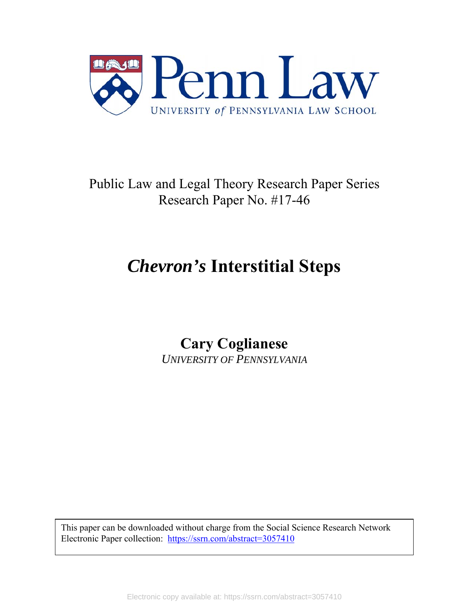

Public Law and Legal Theory Research Paper Series Research Paper No. #17-46

# *Chevron's* **Interstitial Steps**

**Cary Coglianese**  *UNIVERSITY OF PENNSYLVANIA*

This paper can be downloaded without charge from the Social Science Research Network Electronic Paper collection: https://ssrn.com/abstract=3057410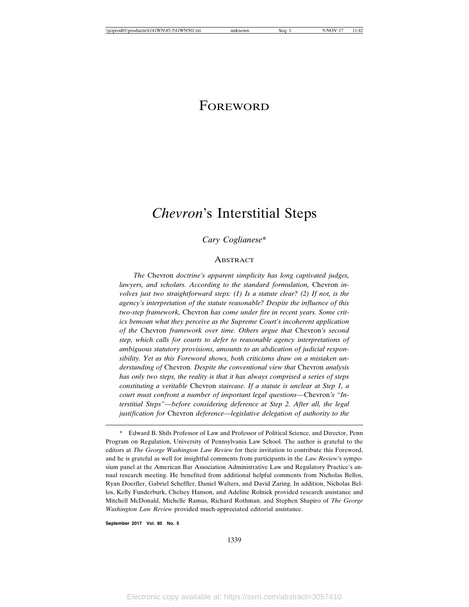### FOREWORD

## *Chevron*'s Interstitial Steps

#### *Cary Coglianese*\*

#### **ABSTRACT**

*The* Chevron *doctrine's apparent simplicity has long captivated judges,* lawyers, and scholars. According to the standard formulation, Chevron in*volves just two straightforward steps: (1) Is a statute clear? (2) If not, is the agency's interpretation of the statute reasonable? Despite the influence of this two-step framework,* Chevron *has come under fire in recent years. Some critics bemoan what they perceive as the Supreme Court's incoherent application of the* Chevron *framework over time. Others argue that* Chevron*'s second step, which calls for courts to defer to reasonable agency interpretations of ambiguous statutory provisions, amounts to an abdication of judicial responsibility. Yet as this Foreword shows, both criticisms draw on a mistaken understanding of* Chevron*. Despite the conventional view that* Chevron *analysis has only two steps, the reality is that it has always comprised a series of steps constituting a veritable* Chevron *staircase. If a statute is unclear at Step 1, a court must confront a number of important legal questions—*Chevron*'s "Interstitial Steps"—before considering deference at Step 2. After all, the legal justification for* Chevron *deference—legislative delegation of authority to the*

**September 2017 Vol. 85 No. 5**

<sup>\*</sup> Edward B. Shils Professor of Law and Professor of Political Science, and Director, Penn Program on Regulation, University of Pennsylvania Law School. The author is grateful to the editors at *The George Washington Law Review* for their invitation to contribute this Foreword, and he is grateful as well for insightful comments from participants in the *Law Review*'s symposium panel at the American Bar Association Administrative Law and Regulatory Practice's annual research meeting. He benefited from additional helpful comments from Nicholas Bellos, Ryan Doerfler, Gabriel Scheffler, Daniel Walters, and David Zaring. In addition, Nicholas Bellos, Kelly Funderburk, Chelsey Hanson, and Adeline Rolnick provided research assistance and Mitchell McDonald, Michelle Ramus, Richard Rothman, and Stephen Shapiro of *The George Washington Law Review* provided much-appreciated editorial assistance.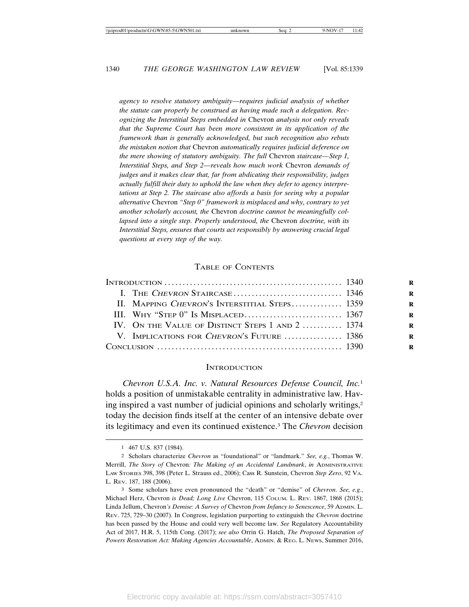*agency to resolve statutory ambiguity—requires judicial analysis of whether the statute can properly be construed as having made such a delegation. Recognizing the Interstitial Steps embedded in* Chevron *analysis not only reveals that the Supreme Court has been more consistent in its application of the framework than is generally acknowledged, but such recognition also rebuts the mistaken notion that* Chevron *automatically requires judicial deference on the mere showing of statutory ambiguity. The full* Chevron *staircase—Step 1, Interstitial Steps, and Step 2—reveals how much work* Chevron *demands of judges and it makes clear that, far from abdicating their responsibility, judges actually fulfill their duty to uphold the law when they defer to agency interpretations at Step 2. The staircase also affords a basis for seeing why a popular alternative* Chevron *"Step 0" framework is misplaced and why, contrary to yet another scholarly account, the* Chevron *doctrine cannot be meaningfully collapsed into a single step. Properly understood, the* Chevron *doctrine, with its Interstitial Steps, ensures that courts act responsibly by answering crucial legal questions at every step of the way.*

#### TABLE OF CONTENTS

| II. MAPPING CHEVRON'S INTERSTITIAL STEPS 1359    |  |
|--------------------------------------------------|--|
|                                                  |  |
| IV. ON THE VALUE OF DISTINCT STEPS 1 AND 2  1374 |  |
| V. IMPLICATIONS FOR CHEVRON'S FUTURE  1386       |  |
|                                                  |  |
|                                                  |  |

#### **INTRODUCTION**

*Chevron U.S.A. Inc. v. Natural Resources Defense Council, Inc.*<sup>1</sup> holds a position of unmistakable centrality in administrative law. Having inspired a vast number of judicial opinions and scholarly writings,2 today the decision finds itself at the center of an intensive debate over its legitimacy and even its continued existence.3 The *Chevron* decision

<sup>1</sup> 467 U.S. 837 (1984).

<sup>2</sup> Scholars characterize *Chevron* as "foundational" or "landmark." *See, e.g.*, Thomas W. Merrill, *The Story of* Chevron*: The Making of an Accidental Landmark*, *in* ADMINISTRATIVE LAW STORIES 398, 398 (Peter L. Strauss ed., 2006); Cass R. Sunstein, Chevron *Step Zero*, 92 VA. L. REV. 187, 188 (2006).

<sup>3</sup> Some scholars have even pronounced the "death" or "demise" of *Chevron*. *See, e.g.*, Michael Herz, Chevron *is Dead; Long Live* Chevron, 115 COLUM. L. REV. 1867, 1868 (2015); Linda Jellum, Chevron*'s Demise: A Survey of* Chevron *from Infancy to Senescence*, 59 ADMIN. L. REV. 725, 729–30 (2007). In Congress, legislation purporting to extinguish the *Chevron* doctrine has been passed by the House and could very well become law. *See* Regulatory Accountability Act of 2017, H.R. 5, 115th Cong. (2017); *see also* Orrin G. Hatch, *The Proposed Separation of Powers Restoration Act: Making Agencies Accountable*, ADMIN. & REG. L. NEWS, Summer 2016,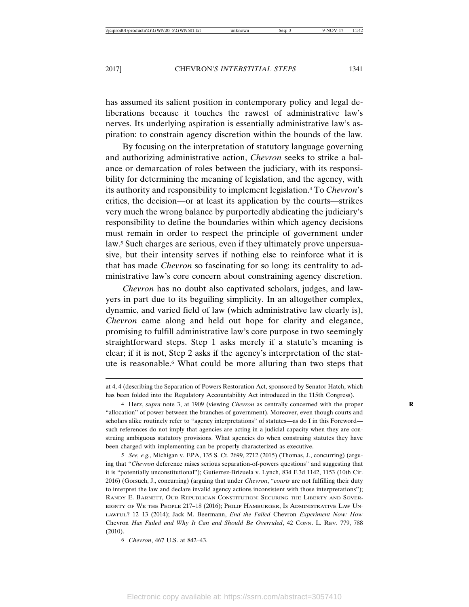has assumed its salient position in contemporary policy and legal deliberations because it touches the rawest of administrative law's nerves. Its underlying aspiration is essentially administrative law's aspiration: to constrain agency discretion within the bounds of the law.

By focusing on the interpretation of statutory language governing and authorizing administrative action, *Chevron* seeks to strike a balance or demarcation of roles between the judiciary, with its responsibility for determining the meaning of legislation, and the agency, with its authority and responsibility to implement legislation.4 To *Chevron*'s critics, the decision—or at least its application by the courts—strikes very much the wrong balance by purportedly abdicating the judiciary's responsibility to define the boundaries within which agency decisions must remain in order to respect the principle of government under law.<sup>5</sup> Such charges are serious, even if they ultimately prove unpersuasive, but their intensity serves if nothing else to reinforce what it is that has made *Chevron* so fascinating for so long: its centrality to administrative law's core concern about constraining agency discretion.

*Chevron* has no doubt also captivated scholars, judges, and lawyers in part due to its beguiling simplicity. In an altogether complex, dynamic, and varied field of law (which administrative law clearly is), *Chevron* came along and held out hope for clarity and elegance, promising to fulfill administrative law's core purpose in two seemingly straightforward steps. Step 1 asks merely if a statute's meaning is clear; if it is not, Step 2 asks if the agency's interpretation of the statute is reasonable.6 What could be more alluring than two steps that

at 4, 4 (describing the Separation of Powers Restoration Act, sponsored by Senator Hatch, which has been folded into the Regulatory Accountability Act introduced in the 115th Congress).

<sup>4</sup> Herz, *supra* note 3, at 1909 (viewing *Chevron* as centrally concerned with the proper **R** "allocation" of power between the branches of government). Moreover, even though courts and scholars alike routinely refer to "agency interpretations" of statutes—as do I in this Foreword such references do not imply that agencies are acting in a judicial capacity when they are construing ambiguous statutory provisions. What agencies do when construing statutes they have been charged with implementing can be properly characterized as executive.

<sup>5</sup> *See, e.g.*, Michigan v. EPA, 135 S. Ct. 2699, 2712 (2015) (Thomas, J., concurring) (arguing that "*Chevron* deference raises serious separation-of-powers questions" and suggesting that it is "potentially unconstitutional"); Gutierrez-Brizuela v. Lynch, 834 F.3d 1142, 1153 (10th Cir. 2016) (Gorsuch, J., concurring) (arguing that under *Chevron*, "*courts* are not fulfilling their duty to interpret the law and declare invalid agency actions inconsistent with those interpretations"); RANDY E. BARNETT, OUR REPUBLICAN CONSTITUTION: SECURING THE LIBERTY AND SOVER-EIGNTY OF WE THE PEOPLE 217–18 (2016); PHILIP HAMBURGER, IS ADMINISTRATIVE LAW UN-LAWFUL? 12–13 (2014); Jack M. Beermann, *End the Failed* Chevron *Experiment Now: How* Chevron *Has Failed and Why It Can and Should Be Overruled*, 42 CONN. L. REV. 779, 788 (2010).

<sup>6</sup> *Chevron*, 467 U.S. at 842–43.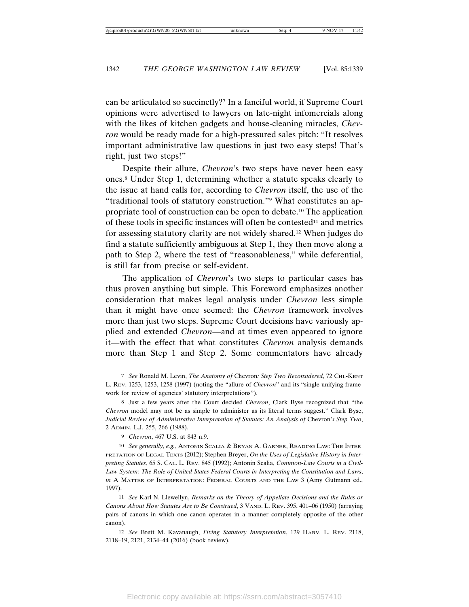can be articulated so succinctly?7 In a fanciful world, if Supreme Court opinions were advertised to lawyers on late-night infomercials along with the likes of kitchen gadgets and house-cleaning miracles, *Chevron* would be ready made for a high-pressured sales pitch: "It resolves important administrative law questions in just two easy steps! That's right, just two steps!"

Despite their allure, *Chevron*'s two steps have never been easy ones.8 Under Step 1, determining whether a statute speaks clearly to the issue at hand calls for, according to *Chevron* itself, the use of the "traditional tools of statutory construction."9 What constitutes an appropriate tool of construction can be open to debate.10 The application of these tools in specific instances will often be contested<sup>11</sup> and metrics for assessing statutory clarity are not widely shared.12 When judges do find a statute sufficiently ambiguous at Step 1, they then move along a path to Step 2, where the test of "reasonableness," while deferential, is still far from precise or self-evident.

The application of *Chevron*'s two steps to particular cases has thus proven anything but simple. This Foreword emphasizes another consideration that makes legal analysis under *Chevron* less simple than it might have once seemed: the *Chevron* framework involves more than just two steps. Supreme Court decisions have variously applied and extended *Chevron*—and at times even appeared to ignore it—with the effect that what constitutes *Chevron* analysis demands more than Step 1 and Step 2. Some commentators have already

10 *See generally, e.g.*, ANTONIN SCALIA & BRYAN A. GARNER, READING LAW: THE INTER-PRETATION OF LEGAL TEXTS (2012); Stephen Breyer, *On the Uses of Legislative History in Interpreting Statutes*, 65 S. CAL. L. REV. 845 (1992); Antonin Scalia, *Common-Law Courts in a Civil-Law System: The Role of United States Federal Courts in Interpreting the Constitution and Laws*, *in* A MATTER OF INTERPRETATION: FEDERAL COURTS AND THE LAW 3 (Amy Gutmann ed., 1997).

11 *See* Karl N. Llewellyn, *Remarks on the Theory of Appellate Decisions and the Rules or Canons About How Statutes Are to Be Construed*, 3 VAND. L. REV. 395, 401–06 (1950) (arraying pairs of canons in which one canon operates in a manner completely opposite of the other canon).

12 *See* Brett M. Kavanaugh, *Fixing Statutory Interpretation*, 129 HARV. L. REV. 2118, 2118–19, 2121, 2134–44 (2016) (book review).

<sup>7</sup> *See* Ronald M. Levin, *The Anatomy of* Chevron*: Step Two Reconsidered*, 72 CHI.-KENT L. REV. 1253, 1253, 1258 (1997) (noting the "allure of *Chevron*" and its "single unifying framework for review of agencies' statutory interpretations").

<sup>8</sup> Just a few years after the Court decided *Chevron*, Clark Byse recognized that "the *Chevron* model may not be as simple to administer as its literal terms suggest." Clark Byse, *Judicial Review of Administrative Interpretation of Statutes: An Analysis of* Chevron*'s Step Two*, 2 ADMIN. L.J. 255, 266 (1988).

<sup>9</sup> *Chevron*, 467 U.S. at 843 n.9.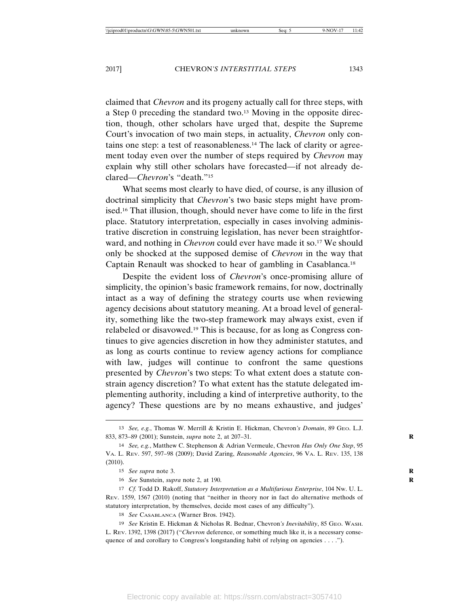claimed that *Chevron* and its progeny actually call for three steps, with a Step 0 preceding the standard two.13 Moving in the opposite direction, though, other scholars have urged that, despite the Supreme Court's invocation of two main steps, in actuality, *Chevron* only contains one step: a test of reasonableness.14 The lack of clarity or agreement today even over the number of steps required by *Chevron* may explain why still other scholars have forecasted—if not already declared—*Chevron*'s "death."15

What seems most clearly to have died, of course, is any illusion of doctrinal simplicity that *Chevron*'s two basic steps might have promised.16 That illusion, though, should never have come to life in the first place. Statutory interpretation, especially in cases involving administrative discretion in construing legislation, has never been straightforward, and nothing in *Chevron* could ever have made it so.<sup>17</sup> We should only be shocked at the supposed demise of *Chevron* in the way that Captain Renault was shocked to hear of gambling in Casablanca.18

Despite the evident loss of *Chevron*'s once-promising allure of simplicity, the opinion's basic framework remains, for now, doctrinally intact as a way of defining the strategy courts use when reviewing agency decisions about statutory meaning. At a broad level of generality, something like the two-step framework may always exist, even if relabeled or disavowed.19 This is because, for as long as Congress continues to give agencies discretion in how they administer statutes, and as long as courts continue to review agency actions for compliance with law, judges will continue to confront the same questions presented by *Chevron*'s two steps: To what extent does a statute constrain agency discretion? To what extent has the statute delegated implementing authority, including a kind of interpretive authority, to the agency? These questions are by no means exhaustive, and judges'

<sup>13</sup> *See, e.g.*, Thomas W. Merrill & Kristin E. Hickman, Chevron*'s Domain*, 89 GEO. L.J. 833, 873–89 (2001); Sunstein, *supra* note 2, at 207–31. **R**

<sup>14</sup> *See, e.g.*, Matthew C. Stephenson & Adrian Vermeule, Chevron *Has Only One Step*, 95 VA. L. REV. 597, 597–98 (2009); David Zaring, *Reasonable Agencies*, 96 VA. L. REV. 135, 138 (2010).

<sup>15</sup> *See supra* note 3. **R**

<sup>16</sup> *See* Sunstein, *supra* note 2, at 190. **R**

<sup>17</sup> *Cf.* Todd D. Rakoff, *Statutory Interpretation as a Multifarious Enterprise*, 104 NW. U. L. REV. 1559, 1567 (2010) (noting that "neither in theory nor in fact do alternative methods of statutory interpretation, by themselves, decide most cases of any difficulty").

<sup>18</sup> *See* CASABLANCA (Warner Bros. 1942).

<sup>19</sup> *See* Kristin E. Hickman & Nicholas R. Bednar, Chevron*'s Inevitability*, 85 GEO. WASH. L. REV. 1392, 1398 (2017) ("*Chevron* deference, or something much like it, is a necessary consequence of and corollary to Congress's longstanding habit of relying on agencies . . . .").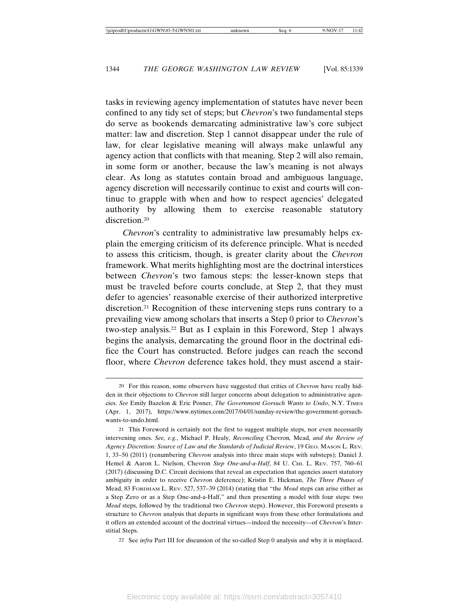tasks in reviewing agency implementation of statutes have never been confined to any tidy set of steps; but *Chevron*'s two fundamental steps do serve as bookends demarcating administrative law's core subject matter: law and discretion. Step 1 cannot disappear under the rule of law, for clear legislative meaning will always make unlawful any agency action that conflicts with that meaning. Step 2 will also remain, in some form or another, because the law's meaning is not always clear. As long as statutes contain broad and ambiguous language, agency discretion will necessarily continue to exist and courts will continue to grapple with when and how to respect agencies' delegated authority by allowing them to exercise reasonable statutory discretion.20

*Chevron*'s centrality to administrative law presumably helps explain the emerging criticism of its deference principle. What is needed to assess this criticism, though, is greater clarity about the *Chevron* framework. What merits highlighting most are the doctrinal interstices between *Chevron*'s two famous steps: the lesser-known steps that must be traveled before courts conclude, at Step 2, that they must defer to agencies' reasonable exercise of their authorized interpretive discretion.21 Recognition of these intervening steps runs contrary to a prevailing view among scholars that inserts a Step 0 prior to *Chevron*'s two-step analysis.22 But as I explain in this Foreword, Step 1 always begins the analysis, demarcating the ground floor in the doctrinal edifice the Court has constructed. Before judges can reach the second floor, where *Chevron* deference takes hold, they must ascend a stair-

22 See *infra* Part III for discussion of the so-called Step 0 analysis and why it is misplaced.

<sup>20</sup> For this reason, some observers have suggested that critics of *Chevron* have really hidden in their objections to *Chevron* still larger concerns about delegation to administrative agencies. *See* Emily Bazelon & Eric Posner, *The Government Gorsuch Wants to Undo*, N.Y. TIMES (Apr. 1, 2017), https://www.nytimes.com/2017/04/01/sunday-review/the-government-gorsuchwants-to-undo.html.

<sup>21</sup> This Foreword is certainly not the first to suggest multiple steps, nor even necessarily intervening ones. *See, e.g.*, Michael P. Healy, *Reconciling* Chevron*,* Mead*, and the Review of Agency Discretion: Source of Law and the Standards of Judicial Review*, 19 GEO. MASON L. REV. 1, 33–50 (2011) (renumbering *Chevron* analysis into three main steps with substeps); Daniel J. Hemel & Aaron L. Nielson, Chevron Step One-and-a-Half, 84 U. CHI. L. REV. 757, 760-61 (2017) (discussing D.C. Circuit decisions that reveal an expectation that agencies assert statutory ambiguity in order to receive *Chevron* deference); Kristin E. Hickman, *The Three Phases of* Mead, 83 FORDHAM L. REV. 527, 537–39 (2014) (stating that "the *Mead* steps can arise either as a Step Zero or as a Step One-and-a-Half," and then presenting a model with four steps: two *Mead* steps, followed by the traditional two *Chevron* steps). However, this Foreword presents a structure to *Chevron* analysis that departs in significant ways from these other formulations and it offers an extended account of the doctrinal virtues—indeed the necessity—of *Chevron*'s Interstitial Steps.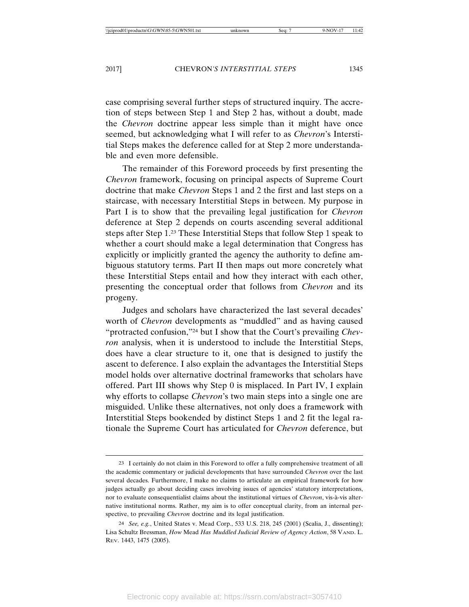case comprising several further steps of structured inquiry. The accretion of steps between Step 1 and Step 2 has, without a doubt, made the *Chevron* doctrine appear less simple than it might have once seemed, but acknowledging what I will refer to as *Chevron*'s Interstitial Steps makes the deference called for at Step 2 more understandable and even more defensible.

The remainder of this Foreword proceeds by first presenting the *Chevron* framework, focusing on principal aspects of Supreme Court doctrine that make *Chevron* Steps 1 and 2 the first and last steps on a staircase, with necessary Interstitial Steps in between. My purpose in Part I is to show that the prevailing legal justification for *Chevron* deference at Step 2 depends on courts ascending several additional steps after Step 1.23 These Interstitial Steps that follow Step 1 speak to whether a court should make a legal determination that Congress has explicitly or implicitly granted the agency the authority to define ambiguous statutory terms. Part II then maps out more concretely what these Interstitial Steps entail and how they interact with each other, presenting the conceptual order that follows from *Chevron* and its progeny.

Judges and scholars have characterized the last several decades' worth of *Chevron* developments as "muddled" and as having caused "protracted confusion,"24 but I show that the Court's prevailing *Chevron* analysis, when it is understood to include the Interstitial Steps, does have a clear structure to it, one that is designed to justify the ascent to deference. I also explain the advantages the Interstitial Steps model holds over alternative doctrinal frameworks that scholars have offered. Part III shows why Step 0 is misplaced. In Part IV, I explain why efforts to collapse *Chevron*'s two main steps into a single one are misguided. Unlike these alternatives, not only does a framework with Interstitial Steps bookended by distinct Steps 1 and 2 fit the legal rationale the Supreme Court has articulated for *Chevron* deference, but

<sup>23</sup> I certainly do not claim in this Foreword to offer a fully comprehensive treatment of all the academic commentary or judicial developments that have surrounded *Chevron* over the last several decades. Furthermore, I make no claims to articulate an empirical framework for how judges actually go about deciding cases involving issues of agencies' statutory interpretations, nor to evaluate consequentialist claims about the institutional virtues of *Chevron*, vis-à-vis alternative institutional norms. Rather, my aim is to offer conceptual clarity, from an internal perspective, to prevailing *Chevron* doctrine and its legal justification.

<sup>24</sup> *See, e.g.*, United States v. Mead Corp., 533 U.S. 218, 245 (2001) (Scalia, J., dissenting); Lisa Schultz Bressman, *How* Mead *Has Muddled Judicial Review of Agency Action*, 58 VAND. L. REV. 1443, 1475 (2005).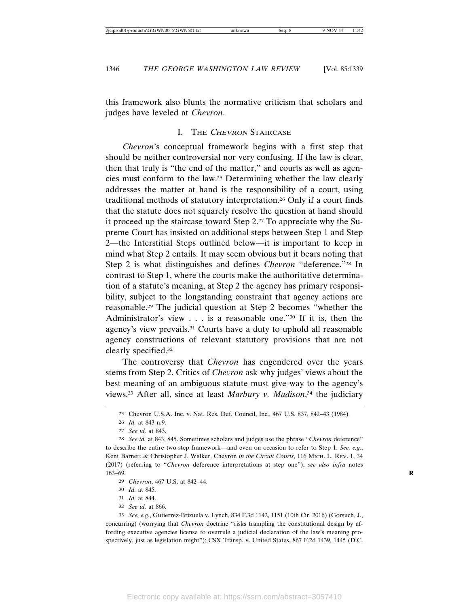this framework also blunts the normative criticism that scholars and judges have leveled at *Chevron*.

#### I. THE CHEVRON STAIRCASE

*Chevron*'s conceptual framework begins with a first step that should be neither controversial nor very confusing. If the law is clear, then that truly is "the end of the matter," and courts as well as agencies must conform to the law.25 Determining whether the law clearly addresses the matter at hand is the responsibility of a court, using traditional methods of statutory interpretation.26 Only if a court finds that the statute does not squarely resolve the question at hand should it proceed up the staircase toward Step 2.27 To appreciate why the Supreme Court has insisted on additional steps between Step 1 and Step 2—the Interstitial Steps outlined below—it is important to keep in mind what Step 2 entails. It may seem obvious but it bears noting that Step 2 is what distinguishes and defines *Chevron* "deference."28 In contrast to Step 1, where the courts make the authoritative determination of a statute's meaning, at Step 2 the agency has primary responsibility, subject to the longstanding constraint that agency actions are reasonable.29 The judicial question at Step 2 becomes "whether the Administrator's view . . . is a reasonable one."30 If it is, then the agency's view prevails.31 Courts have a duty to uphold all reasonable agency constructions of relevant statutory provisions that are not clearly specified.32

The controversy that *Chevron* has engendered over the years stems from Step 2. Critics of *Chevron* ask why judges' views about the best meaning of an ambiguous statute must give way to the agency's views.33 After all, since at least *Marbury v. Madison*, 34 the judiciary

32 *See id.* at 866.

33 *See, e.g.*, Gutierrez-Brizuela v. Lynch, 834 F.3d 1142, 1151 (10th Cir. 2016) (Gorsuch, J., concurring) (worrying that *Chevron* doctrine "risks trampling the constitutional design by affording executive agencies license to overrule a judicial declaration of the law's meaning prospectively, just as legislation might"); CSX Transp. v. United States, 867 F.2d 1439, 1445 (D.C.

<sup>25</sup> Chevron U.S.A. Inc. v. Nat. Res. Def. Council, Inc., 467 U.S. 837, 842–43 (1984).

<sup>26</sup> *Id.* at 843 n.9.

<sup>27</sup> *See id.* at 843.

<sup>28</sup> *See id.* at 843, 845. Sometimes scholars and judges use the phrase "*Chevron* deference" to describe the entire two-step framework—and even on occasion to refer to Step 1. *See, e.g.*, Kent Barnett & Christopher J. Walker, Chevron *in the Circuit Courts*, 116 MICH. L. REV. 1, 34 (2017) (referring to "*Chevron* deference interpretations at step one"); *see also infra* notes 163–69. **R**

<sup>29</sup> *Chevron*, 467 U.S. at 842–44.

<sup>30</sup> *Id.* at 845.

<sup>31</sup> *Id.* at 844.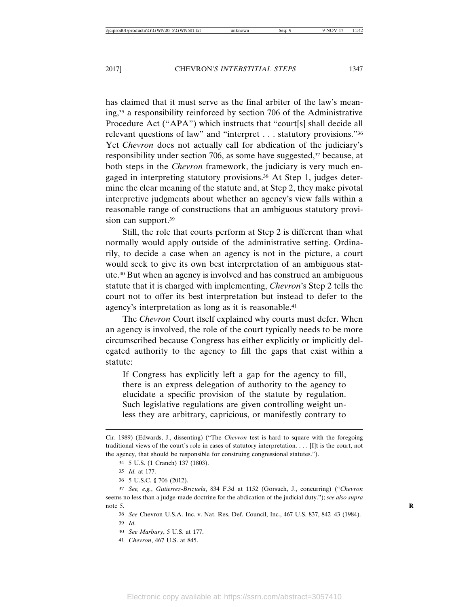has claimed that it must serve as the final arbiter of the law's meaning,35 a responsibility reinforced by section 706 of the Administrative Procedure Act ("APA") which instructs that "court[s] shall decide all relevant questions of law" and "interpret . . . statutory provisions."36 Yet *Chevron* does not actually call for abdication of the judiciary's responsibility under section 706, as some have suggested,<sup>37</sup> because, at both steps in the *Chevron* framework, the judiciary is very much engaged in interpreting statutory provisions.38 At Step 1, judges determine the clear meaning of the statute and, at Step 2, they make pivotal interpretive judgments about whether an agency's view falls within a reasonable range of constructions that an ambiguous statutory provision can support.<sup>39</sup>

Still, the role that courts perform at Step 2 is different than what normally would apply outside of the administrative setting. Ordinarily, to decide a case when an agency is not in the picture, a court would seek to give its own best interpretation of an ambiguous statute.40 But when an agency is involved and has construed an ambiguous statute that it is charged with implementing, *Chevron*'s Step 2 tells the court not to offer its best interpretation but instead to defer to the agency's interpretation as long as it is reasonable.41

The *Chevron* Court itself explained why courts must defer. When an agency is involved, the role of the court typically needs to be more circumscribed because Congress has either explicitly or implicitly delegated authority to the agency to fill the gaps that exist within a statute:

If Congress has explicitly left a gap for the agency to fill, there is an express delegation of authority to the agency to elucidate a specific provision of the statute by regulation. Such legislative regulations are given controlling weight unless they are arbitrary, capricious, or manifestly contrary to

Cir. 1989) (Edwards, J., dissenting) ("The *Chevron* test is hard to square with the foregoing traditional views of the court's role in cases of statutory interpretation. . . . [I]t is the court, not the agency, that should be responsible for construing congressional statutes.").

<sup>34</sup> 5 U.S. (1 Cranch) 137 (1803).

<sup>35</sup> *Id.* at 177.

<sup>36</sup> 5 U.S.C. § 706 (2012).

<sup>37</sup> *See, e.g.*, *Gutierrez-Brizuela*, 834 F.3d at 1152 (Gorsuch, J., concurring) ("*Chevron* seems no less than a judge-made doctrine for the abdication of the judicial duty."); *see also supra* note 5.

<sup>38</sup> *See* Chevron U.S.A. Inc. v. Nat. Res. Def. Council, Inc., 467 U.S. 837, 842–43 (1984). 39 *Id.*

<sup>40</sup> *See Marbury*, 5 U.S. at 177.

<sup>41</sup> *Chevron*, 467 U.S. at 845.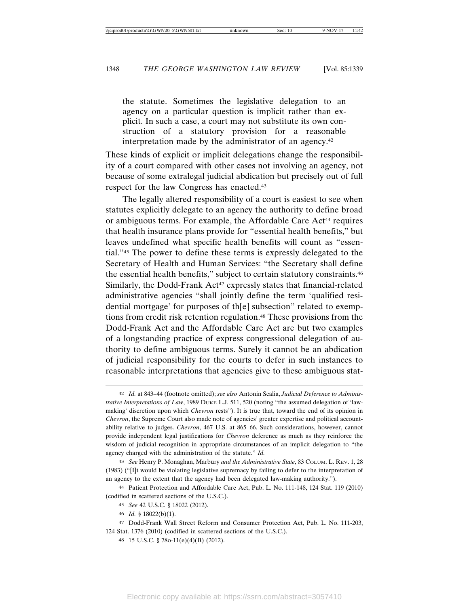the statute. Sometimes the legislative delegation to an agency on a particular question is implicit rather than explicit. In such a case, a court may not substitute its own construction of a statutory provision for a reasonable interpretation made by the administrator of an agency.42

These kinds of explicit or implicit delegations change the responsibility of a court compared with other cases not involving an agency, not because of some extralegal judicial abdication but precisely out of full respect for the law Congress has enacted.43

The legally altered responsibility of a court is easiest to see when statutes explicitly delegate to an agency the authority to define broad or ambiguous terms. For example, the Affordable Care Act<sup>44</sup> requires that health insurance plans provide for "essential health benefits," but leaves undefined what specific health benefits will count as "essential."45 The power to define these terms is expressly delegated to the Secretary of Health and Human Services: "the Secretary shall define the essential health benefits," subject to certain statutory constraints.46 Similarly, the Dodd-Frank  $Act^{47}$  expressly states that financial-related administrative agencies "shall jointly define the term 'qualified residential mortgage' for purposes of th[e] subsection" related to exemptions from credit risk retention regulation.48 These provisions from the Dodd-Frank Act and the Affordable Care Act are but two examples of a longstanding practice of express congressional delegation of authority to define ambiguous terms. Surely it cannot be an abdication of judicial responsibility for the courts to defer in such instances to reasonable interpretations that agencies give to these ambiguous stat-

<sup>42</sup> *Id.* at 843–44 (footnote omitted); *see also* Antonin Scalia, *Judicial Deference to Administrative Interpretations of Law*, 1989 DUKE L.J. 511, 520 (noting "the assumed delegation of 'lawmaking' discretion upon which *Chevron* rests"). It is true that, toward the end of its opinion in *Chevron*, the Supreme Court also made note of agencies' greater expertise and political accountability relative to judges. *Chevron*, 467 U.S. at 865–66. Such considerations, however, cannot provide independent legal justifications for *Chevron* deference as much as they reinforce the wisdom of judicial recognition in appropriate circumstances of an implicit delegation to "the agency charged with the administration of the statute." *Id.*

<sup>43</sup> *See* Henry P. Monaghan, Marbury *and the Administrative State*, 83 COLUM. L. REV. 1, 28 (1983) ("[I]t would be violating legislative supremacy by failing to defer to the interpretation of an agency to the extent that the agency had been delegated law-making authority.").

<sup>44</sup> Patient Protection and Affordable Care Act, Pub. L. No. 111-148, 124 Stat. 119 (2010) (codified in scattered sections of the U.S.C.).

<sup>45</sup> *See* 42 U.S.C. § 18022 (2012).

<sup>46</sup> *Id.* § 18022(b)(1).

<sup>47</sup> Dodd-Frank Wall Street Reform and Consumer Protection Act, Pub. L. No. 111-203, 124 Stat. 1376 (2010) (codified in scattered sections of the U.S.C.).

<sup>48</sup> 15 U.S.C. § 78o-11(e)(4)(B) (2012).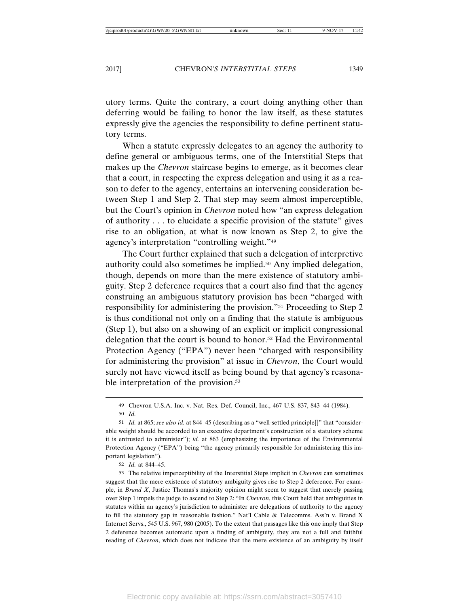utory terms. Quite the contrary, a court doing anything other than deferring would be failing to honor the law itself, as these statutes expressly give the agencies the responsibility to define pertinent statutory terms.

When a statute expressly delegates to an agency the authority to define general or ambiguous terms, one of the Interstitial Steps that makes up the *Chevron* staircase begins to emerge, as it becomes clear that a court, in respecting the express delegation and using it as a reason to defer to the agency, entertains an intervening consideration between Step 1 and Step 2. That step may seem almost imperceptible, but the Court's opinion in *Chevron* noted how "an express delegation of authority . . . to elucidate a specific provision of the statute" gives rise to an obligation, at what is now known as Step 2, to give the agency's interpretation "controlling weight."49

The Court further explained that such a delegation of interpretive authority could also sometimes be implied.50 Any implied delegation, though, depends on more than the mere existence of statutory ambiguity. Step 2 deference requires that a court also find that the agency construing an ambiguous statutory provision has been "charged with responsibility for administering the provision."51 Proceeding to Step 2 is thus conditional not only on a finding that the statute is ambiguous (Step 1), but also on a showing of an explicit or implicit congressional delegation that the court is bound to honor.52 Had the Environmental Protection Agency ("EPA") never been "charged with responsibility for administering the provision" at issue in *Chevron*, the Court would surely not have viewed itself as being bound by that agency's reasonable interpretation of the provision.<sup>53</sup>

52 *Id.* at 844–45.

53 The relative imperceptibility of the Interstitial Steps implicit in *Chevron* can sometimes suggest that the mere existence of statutory ambiguity gives rise to Step 2 deference. For example, in *Brand X*, Justice Thomas's majority opinion might seem to suggest that merely passing over Step 1 impels the judge to ascend to Step 2: "In *Chevron*, this Court held that ambiguities in statutes within an agency's jurisdiction to administer are delegations of authority to the agency to fill the statutory gap in reasonable fashion." Nat'l Cable & Telecomms. Ass'n v. Brand X Internet Servs., 545 U.S. 967, 980 (2005). To the extent that passages like this one imply that Step 2 deference becomes automatic upon a finding of ambiguity, they are not a full and faithful reading of *Chevron*, which does not indicate that the mere existence of an ambiguity by itself

<sup>49</sup> Chevron U.S.A. Inc. v. Nat. Res. Def. Council, Inc., 467 U.S. 837, 843–44 (1984). 50 *Id.*

<sup>51</sup> *Id.* at 865; *see also id.* at 844–45 (describing as a "well-settled principle[]" that "considerable weight should be accorded to an executive department's construction of a statutory scheme it is entrusted to administer"); *id.* at 863 (emphasizing the importance of the Environmental Protection Agency ("EPA") being "the agency primarily responsible for administering this important legislation").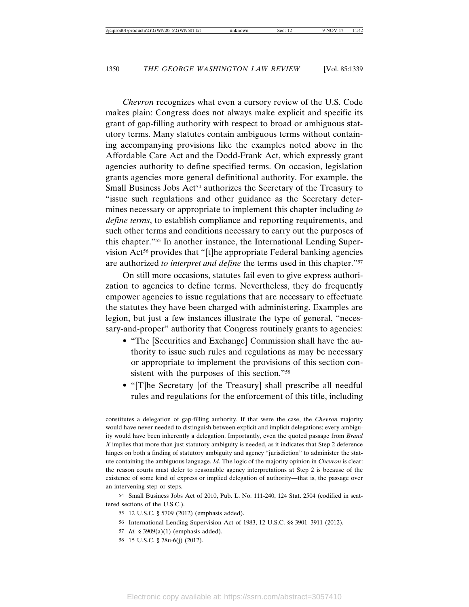*Chevron* recognizes what even a cursory review of the U.S. Code makes plain: Congress does not always make explicit and specific its grant of gap-filling authority with respect to broad or ambiguous statutory terms. Many statutes contain ambiguous terms without containing accompanying provisions like the examples noted above in the Affordable Care Act and the Dodd-Frank Act, which expressly grant agencies authority to define specified terms. On occasion, legislation grants agencies more general definitional authority. For example, the Small Business Jobs Act<sup>54</sup> authorizes the Secretary of the Treasury to "issue such regulations and other guidance as the Secretary determines necessary or appropriate to implement this chapter including *to define terms*, to establish compliance and reporting requirements, and such other terms and conditions necessary to carry out the purposes of this chapter."55 In another instance, the International Lending Supervision Act<sup>56</sup> provides that "[t]he appropriate Federal banking agencies are authorized *to interpret and define* the terms used in this chapter."57

On still more occasions, statutes fail even to give express authorization to agencies to define terms. Nevertheless, they do frequently empower agencies to issue regulations that are necessary to effectuate the statutes they have been charged with administering. Examples are legion, but just a few instances illustrate the type of general, "necessary-and-proper" authority that Congress routinely grants to agencies:

- "The [Securities and Exchange] Commission shall have the authority to issue such rules and regulations as may be necessary or appropriate to implement the provisions of this section consistent with the purposes of this section."58
- "[T]he Secretary [of the Treasury] shall prescribe all needful rules and regulations for the enforcement of this title, including

58 15 U.S.C. § 78u-6(j) (2012).

constitutes a delegation of gap-filling authority. If that were the case, the *Chevron* majority would have never needed to distinguish between explicit and implicit delegations; every ambiguity would have been inherently a delegation. Importantly, even the quoted passage from *Brand X* implies that more than just statutory ambiguity is needed, as it indicates that Step 2 deference hinges on both a finding of statutory ambiguity and agency "jurisdiction" to administer the statute containing the ambiguous language. *Id.* The logic of the majority opinion in *Chevron* is clear: the reason courts must defer to reasonable agency interpretations at Step 2 is because of the existence of some kind of express or implied delegation of authority—that is, the passage over an intervening step or steps.

<sup>54</sup> Small Business Jobs Act of 2010, Pub. L. No. 111-240, 124 Stat. 2504 (codified in scattered sections of the U.S.C.).

<sup>55</sup> 12 U.S.C. § 5709 (2012) (emphasis added).

<sup>56</sup> International Lending Supervision Act of 1983, 12 U.S.C. §§ 3901–3911 (2012).

<sup>57</sup> *Id.* § 3909(a)(1) (emphasis added).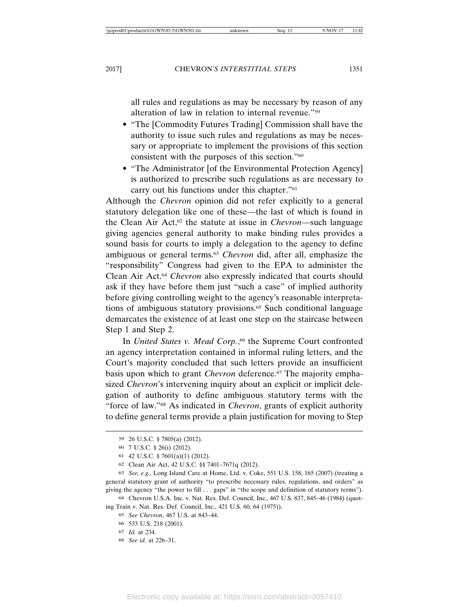all rules and regulations as may be necessary by reason of any alteration of law in relation to internal revenue."59

- "The [Commodity Futures Trading] Commission shall have the authority to issue such rules and regulations as may be necessary or appropriate to implement the provisions of this section consistent with the purposes of this section."60
- "The Administrator [of the Environmental Protection Agency] is authorized to prescribe such regulations as are necessary to carry out his functions under this chapter."61

Although the *Chevron* opinion did not refer explicitly to a general statutory delegation like one of these—the last of which is found in the Clean Air Act,62 the statute at issue in *Chevron*—such language giving agencies general authority to make binding rules provides a sound basis for courts to imply a delegation to the agency to define ambiguous or general terms.63 *Chevron* did, after all, emphasize the "responsibility" Congress had given to the EPA to administer the Clean Air Act.64 *Chevron* also expressly indicated that courts should ask if they have before them just "such a case" of implied authority before giving controlling weight to the agency's reasonable interpretations of ambiguous statutory provisions.65 Such conditional language demarcates the existence of at least one step on the staircase between Step 1 and Step 2.

In *United States v. Mead Corp.*, 66 the Supreme Court confronted an agency interpretation contained in informal ruling letters, and the Court's majority concluded that such letters provide an insufficient basis upon which to grant *Chevron* deference.<sup>67</sup> The majority emphasized *Chevron*'s intervening inquiry about an explicit or implicit delegation of authority to define ambiguous statutory terms with the "force of law."68 As indicated in *Chevron*, grants of explicit authority to define general terms provide a plain justification for moving to Step

63 *See, e.g.*, Long Island Care at Home, Ltd. v. Coke, 551 U.S. 158, 165 (2007) (treating a general statutory grant of authority "to prescribe necessary rules, regulations, and orders" as giving the agency "the power to fill . . . gaps" in "the scope and definition of statutory terms").

68 *See id.* at 226–31.

<sup>59</sup> 26 U.S.C. § 7805(a) (2012).

<sup>60</sup> 7 U.S.C. § 26(i) (2012).

<sup>61</sup> 42 U.S.C. § 7601(a)(1) (2012).

<sup>62</sup> Clean Air Act, 42 U.S.C. §§ 7401–7671q (2012).

<sup>64</sup> Chevron U.S.A. Inc. v. Nat. Res. Def. Council, Inc., 467 U.S. 837, 845–46 (1984) (quoting Train v. Nat. Res. Def. Council, Inc., 421 U.S. 60, 64 (1975)).

<sup>65</sup> *See Chevron*, 467 U.S. at 843–44.

<sup>66</sup> 533 U.S. 218 (2001).

<sup>67</sup> *Id.* at 234.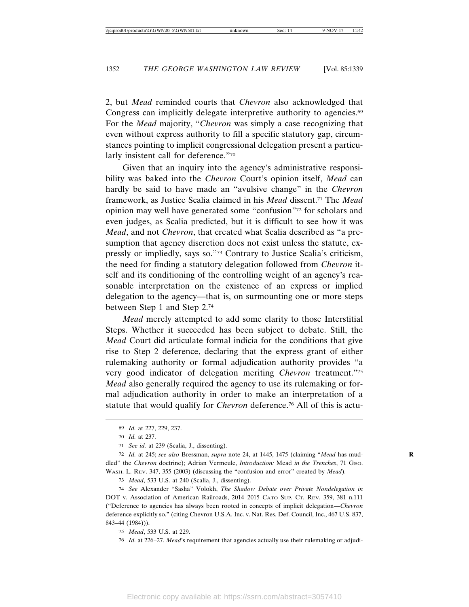2, but *Mead* reminded courts that *Chevron* also acknowledged that Congress can implicitly delegate interpretive authority to agencies.<sup>69</sup> For the *Mead* majority, "*Chevron* was simply a case recognizing that even without express authority to fill a specific statutory gap, circumstances pointing to implicit congressional delegation present a particularly insistent call for deference."70

Given that an inquiry into the agency's administrative responsibility was baked into the *Chevron* Court's opinion itself, *Mead* can hardly be said to have made an "avulsive change" in the *Chevron* framework, as Justice Scalia claimed in his *Mead* dissent.71 The *Mead* opinion may well have generated some "confusion"72 for scholars and even judges, as Scalia predicted, but it is difficult to see how it was *Mead*, and not *Chevron*, that created what Scalia described as "a presumption that agency discretion does not exist unless the statute, expressly or impliedly, says so."73 Contrary to Justice Scalia's criticism, the need for finding a statutory delegation followed from *Chevron* itself and its conditioning of the controlling weight of an agency's reasonable interpretation on the existence of an express or implied delegation to the agency—that is, on surmounting one or more steps between Step 1 and Step 2.74

*Mead* merely attempted to add some clarity to those Interstitial Steps. Whether it succeeded has been subject to debate. Still, the *Mead* Court did articulate formal indicia for the conditions that give rise to Step 2 deference, declaring that the express grant of either rulemaking authority or formal adjudication authority provides "a very good indicator of delegation meriting *Chevron* treatment."75 *Mead* also generally required the agency to use its rulemaking or formal adjudication authority in order to make an interpretation of a statute that would qualify for *Chevron* deference.76 All of this is actu-

73 *Mead*, 533 U.S. at 240 (Scalia, J., dissenting).

74 *See* Alexander "Sasha" Volokh, *The Shadow Debate over Private Nondelegation in* DOT v. Association of American Railroads, 2014–2015 CATO SUP. CT. REV. 359, 381 n.111 ("Deference to agencies has always been rooted in concepts of implicit delegation—*Chevron* deference explicitly so." (citing Chevron U.S.A. Inc. v. Nat. Res. Def. Council, Inc., 467 U.S. 837, 843–44 (1984))).

75 *Mead*, 533 U.S. at 229.

76 *Id.* at 226–27. *Mead*'s requirement that agencies actually use their rulemaking or adjudi-

<sup>69</sup> *Id.* at 227, 229, 237.

<sup>70</sup> *Id.* at 237.

<sup>71</sup> *See id.* at 239 (Scalia, J., dissenting).

<sup>72</sup> *Id.* at 245; *see also* Bressman, *supra* note 24, at 1445, 1475 (claiming "*Mead* has mud- **R** dled" the *Chevron* doctrine); Adrian Vermeule, *Introduction:* Mead *in the Trenches*, 71 GEO. WASH. L. REV. 347, 355 (2003) (discussing the "confusion and error" created by *Mead*).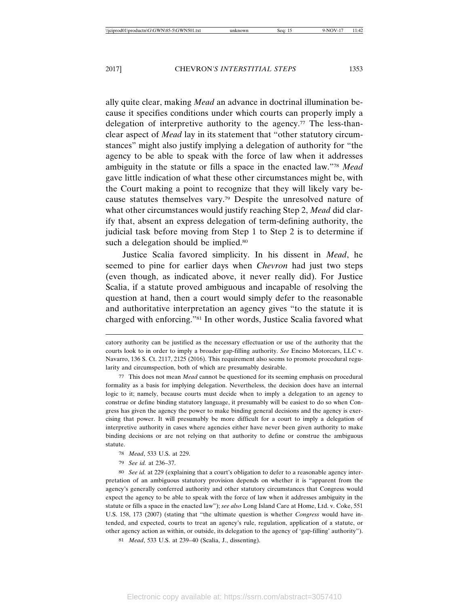ally quite clear, making *Mead* an advance in doctrinal illumination because it specifies conditions under which courts can properly imply a delegation of interpretive authority to the agency.<sup>77</sup> The less-thanclear aspect of *Mead* lay in its statement that "other statutory circumstances" might also justify implying a delegation of authority for "the agency to be able to speak with the force of law when it addresses ambiguity in the statute or fills a space in the enacted law."78 *Mead* gave little indication of what these other circumstances might be, with the Court making a point to recognize that they will likely vary because statutes themselves vary.79 Despite the unresolved nature of what other circumstances would justify reaching Step 2, *Mead* did clarify that, absent an express delegation of term-defining authority, the judicial task before moving from Step 1 to Step 2 is to determine if such a delegation should be implied.<sup>80</sup>

Justice Scalia favored simplicity. In his dissent in *Mead*, he seemed to pine for earlier days when *Chevron* had just two steps (even though, as indicated above, it never really did). For Justice Scalia, if a statute proved ambiguous and incapable of resolving the question at hand, then a court would simply defer to the reasonable and authoritative interpretation an agency gives "to the statute it is charged with enforcing."81 In other words, Justice Scalia favored what

catory authority can be justified as the necessary effectuation or use of the authority that the courts look to in order to imply a broader gap-filling authority. *See* Encino Motorcars, LLC v. Navarro, 136 S. Ct. 2117, 2125 (2016). This requirement also seems to promote procedural regularity and circumspection, both of which are presumably desirable.

<sup>77</sup> This does not mean *Mead* cannot be questioned for its seeming emphasis on procedural formality as a basis for implying delegation. Nevertheless, the decision does have an internal logic to it; namely, because courts must decide when to imply a delegation to an agency to construe or define binding statutory language, it presumably will be easiest to do so when Congress has given the agency the power to make binding general decisions and the agency is exercising that power. It will presumably be more difficult for a court to imply a delegation of interpretive authority in cases where agencies either have never been given authority to make binding decisions or are not relying on that authority to define or construe the ambiguous statute.

<sup>78</sup> *Mead*, 533 U.S. at 229.

<sup>79</sup> *See id.* at 236–37.

<sup>80</sup> *See id.* at 229 (explaining that a court's obligation to defer to a reasonable agency interpretation of an ambiguous statutory provision depends on whether it is "apparent from the agency's generally conferred authority and other statutory circumstances that Congress would expect the agency to be able to speak with the force of law when it addresses ambiguity in the statute or fills a space in the enacted law"); *see also* Long Island Care at Home, Ltd. v. Coke, 551 U.S. 158, 173 (2007) (stating that "the ultimate question is whether *Congress* would have intended, and expected, courts to treat an agency's rule, regulation, application of a statute, or other agency action as within, or outside, its delegation to the agency of 'gap-filling' authority").

<sup>81</sup> *Mead*, 533 U.S. at 239–40 (Scalia, J., dissenting).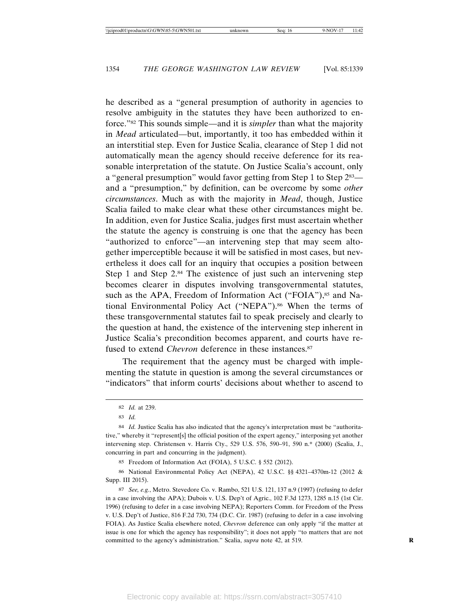he described as a "general presumption of authority in agencies to resolve ambiguity in the statutes they have been authorized to enforce."82 This sounds simple—and it is *simpler* than what the majority in *Mead* articulated—but, importantly, it too has embedded within it an interstitial step. Even for Justice Scalia, clearance of Step 1 did not automatically mean the agency should receive deference for its reasonable interpretation of the statute. On Justice Scalia's account, only a "general presumption" would favor getting from Step 1 to Step 283 and a "presumption," by definition, can be overcome by some *other circumstances*. Much as with the majority in *Mead*, though, Justice Scalia failed to make clear what these other circumstances might be. In addition, even for Justice Scalia, judges first must ascertain whether the statute the agency is construing is one that the agency has been "authorized to enforce"—an intervening step that may seem altogether imperceptible because it will be satisfied in most cases, but nevertheless it does call for an inquiry that occupies a position between Step 1 and Step 2.<sup>84</sup> The existence of just such an intervening step becomes clearer in disputes involving transgovernmental statutes, such as the APA, Freedom of Information Act ("FOIA"),<sup>85</sup> and National Environmental Policy Act ("NEPA").<sup>86</sup> When the terms of these transgovernmental statutes fail to speak precisely and clearly to the question at hand, the existence of the intervening step inherent in Justice Scalia's precondition becomes apparent, and courts have refused to extend *Chevron* deference in these instances.<sup>87</sup>

The requirement that the agency must be charged with implementing the statute in question is among the several circumstances or "indicators" that inform courts' decisions about whether to ascend to

85 Freedom of Information Act (FOIA), 5 U.S.C. § 552 (2012).

86 National Environmental Policy Act (NEPA), 42 U.S.C. §§ 4321–4370m-12 (2012 & Supp. III 2015).

87 *See, e.g.*, Metro. Stevedore Co. v. Rambo, 521 U.S. 121, 137 n.9 (1997) (refusing to defer in a case involving the APA); Dubois v. U.S. Dep't of Agric., 102 F.3d 1273, 1285 n.15 (1st Cir. 1996) (refusing to defer in a case involving NEPA); Reporters Comm. for Freedom of the Press v. U.S. Dep't of Justice, 816 F.2d 730, 734 (D.C. Cir. 1987) (refusing to defer in a case involving FOIA). As Justice Scalia elsewhere noted, *Chevron* deference can only apply "if the matter at issue is one for which the agency has responsibility"; it does not apply "to matters that are not committed to the agency's administration." Scalia, *supra* note 42, at 519.

<sup>82</sup> *Id.* at 239.

<sup>83</sup> *Id.*

<sup>84</sup> *Id.* Justice Scalia has also indicated that the agency's interpretation must be "authoritative," whereby it "represent[s] the official position of the expert agency," interposing yet another intervening step. Christensen v. Harris Cty., 529 U.S. 576, 590–91, 590 n.\* (2000) (Scalia, J., concurring in part and concurring in the judgment).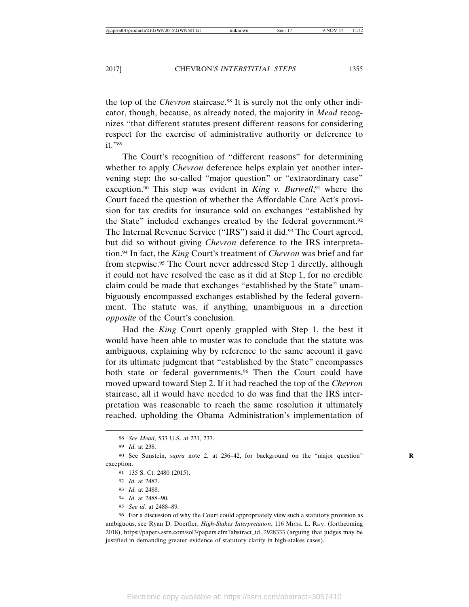the top of the *Chevron* staircase.<sup>88</sup> It is surely not the only other indicator, though, because, as already noted, the majority in *Mead* recognizes "that different statutes present different reasons for considering respect for the exercise of administrative authority or deference to it."89

The Court's recognition of "different reasons" for determining whether to apply *Chevron* deference helps explain yet another intervening step: the so-called "major question" or "extraordinary case" exception.<sup>90</sup> This step was evident in *King v. Burwell*,<sup>91</sup> where the Court faced the question of whether the Affordable Care Act's provision for tax credits for insurance sold on exchanges "established by the State" included exchanges created by the federal government.92 The Internal Revenue Service ("IRS") said it did.<sup>93</sup> The Court agreed, but did so without giving *Chevron* deference to the IRS interpretation.94 In fact, the *King* Court's treatment of *Chevron* was brief and far from stepwise.95 The Court never addressed Step 1 directly, although it could not have resolved the case as it did at Step 1, for no credible claim could be made that exchanges "established by the State" unambiguously encompassed exchanges established by the federal government. The statute was, if anything, unambiguous in a direction *opposite* of the Court's conclusion.

Had the *King* Court openly grappled with Step 1, the best it would have been able to muster was to conclude that the statute was ambiguous, explaining why by reference to the same account it gave for its ultimate judgment that "established by the State" encompasses both state or federal governments.<sup>96</sup> Then the Court could have moved upward toward Step 2. If it had reached the top of the *Chevron* staircase, all it would have needed to do was find that the IRS interpretation was reasonable to reach the same resolution it ultimately reached, upholding the Obama Administration's implementation of

- 94 *Id.* at 2488–90.
- 95 *See id.* at 2488–89.

96 For a discussion of why the Court could appropriately view such a statutory provision as ambiguous, see Ryan D. Doerfler, *High-Stakes Interpretation*, 116 MICH. L. REV. (forthcoming 2018), https://papers.ssrn.com/sol3/papers.cfm?abstract\_id=2928333 (arguing that judges may be justified in demanding greater evidence of statutory clarity in high-stakes cases).

<sup>88</sup> *See Mead*, 533 U.S. at 231, 237.

<sup>89</sup> *Id.* at 238.

<sup>90</sup> See Sunstein, *supra* note 2, at 236–42, for background on the "major question" **R** exception.

<sup>91</sup> 135 S. Ct. 2480 (2015).

<sup>92</sup> *Id.* at 2487.

<sup>93</sup> *Id.* at 2488.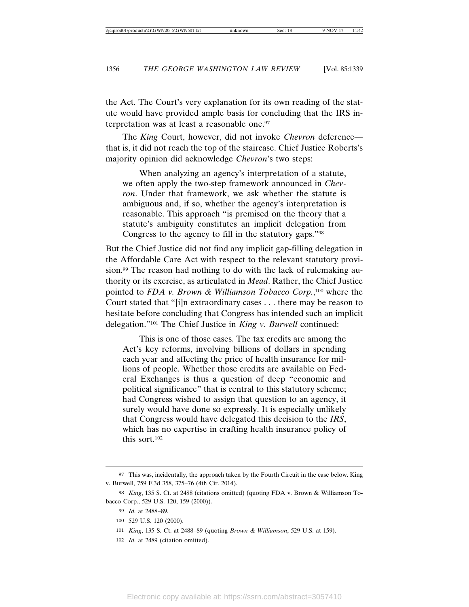the Act. The Court's very explanation for its own reading of the statute would have provided ample basis for concluding that the IRS interpretation was at least a reasonable one.<sup>97</sup>

The *King* Court, however, did not invoke *Chevron* deference that is, it did not reach the top of the staircase. Chief Justice Roberts's majority opinion did acknowledge *Chevron*'s two steps:

When analyzing an agency's interpretation of a statute, we often apply the two-step framework announced in *Chevron*. Under that framework, we ask whether the statute is ambiguous and, if so, whether the agency's interpretation is reasonable. This approach "is premised on the theory that a statute's ambiguity constitutes an implicit delegation from Congress to the agency to fill in the statutory gaps."98

But the Chief Justice did not find any implicit gap-filling delegation in the Affordable Care Act with respect to the relevant statutory provision.<sup>99</sup> The reason had nothing to do with the lack of rulemaking authority or its exercise, as articulated in *Mead*. Rather, the Chief Justice pointed to *FDA v. Brown & Williamson Tobacco Corp*.,<sup>100</sup> where the Court stated that "[i]n extraordinary cases . . . there may be reason to hesitate before concluding that Congress has intended such an implicit delegation."101 The Chief Justice in *King v. Burwell* continued:

This is one of those cases. The tax credits are among the Act's key reforms, involving billions of dollars in spending each year and affecting the price of health insurance for millions of people. Whether those credits are available on Federal Exchanges is thus a question of deep "economic and political significance" that is central to this statutory scheme; had Congress wished to assign that question to an agency, it surely would have done so expressly. It is especially unlikely that Congress would have delegated this decision to the *IRS*, which has no expertise in crafting health insurance policy of this sort.102

<sup>97</sup> This was, incidentally, the approach taken by the Fourth Circuit in the case below. King v. Burwell, 759 F.3d 358, 375–76 (4th Cir. 2014).

<sup>98</sup> *King*, 135 S. Ct. at 2488 (citations omitted) (quoting FDA v. Brown & Williamson Tobacco Corp., 529 U.S. 120, 159 (2000)).

<sup>99</sup> *Id.* at 2488–89.

<sup>100</sup> 529 U.S. 120 (2000).

<sup>101</sup> *King*, 135 S. Ct. at 2488–89 (quoting *Brown & Williamson*, 529 U.S. at 159).

<sup>102</sup> *Id.* at 2489 (citation omitted).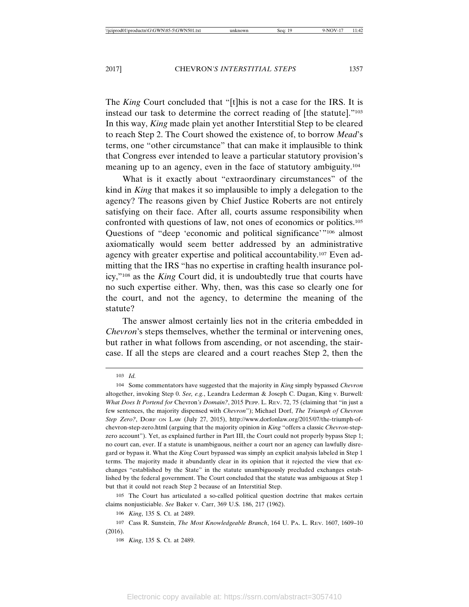The *King* Court concluded that "[t]his is not a case for the IRS. It is instead our task to determine the correct reading of [the statute]."103 In this way, *King* made plain yet another Interstitial Step to be cleared to reach Step 2. The Court showed the existence of, to borrow *Mead*'s terms, one "other circumstance" that can make it implausible to think that Congress ever intended to leave a particular statutory provision's meaning up to an agency, even in the face of statutory ambiguity.104

What is it exactly about "extraordinary circumstances" of the kind in *King* that makes it so implausible to imply a delegation to the agency? The reasons given by Chief Justice Roberts are not entirely satisfying on their face. After all, courts assume responsibility when confronted with questions of law, not ones of economics or politics.105 Questions of "deep 'economic and political significance'"<sup>106</sup> almost axiomatically would seem better addressed by an administrative agency with greater expertise and political accountability.107 Even admitting that the IRS "has no expertise in crafting health insurance policy,"108 as the *King* Court did, it is undoubtedly true that courts have no such expertise either. Why, then, was this case so clearly one for the court, and not the agency, to determine the meaning of the statute?

The answer almost certainly lies not in the criteria embedded in *Chevron*'s steps themselves, whether the terminal or intervening ones, but rather in what follows from ascending, or not ascending, the staircase. If all the steps are cleared and a court reaches Step 2, then the

105 The Court has articulated a so-called political question doctrine that makes certain claims nonjusticiable. *See* Baker v. Carr, 369 U.S. 186, 217 (1962).

<sup>103</sup> *Id.*

<sup>104</sup> Some commentators have suggested that the majority in *King* simply bypassed *Chevron* altogether, invoking Step 0. *See, e.g.*, Leandra Lederman & Joseph C. Dugan, King v. Burwell*: What Does It Portend for* Chevron*'s Domain?*, 2015 PEPP. L. REV. 72, 75 (claiming that "in just a few sentences, the majority dispensed with *Chevron*"); Michael Dorf, *The Triumph of Chevron Step Zero?*, DORF ON LAW (July 27, 2015), http://www.dorfonlaw.org/2015/07/the-triumph-ofchevron-step-zero.html (arguing that the majority opinion in *King* "offers a classic *Chevron*-stepzero account"). Yet, as explained further in Part III, the Court could not properly bypass Step 1; no court can, ever. If a statute is unambiguous, neither a court nor an agency can lawfully disregard or bypass it. What the *King* Court bypassed was simply an explicit analysis labeled in Step 1 terms. The majority made it abundantly clear in its opinion that it rejected the view that exchanges "established by the State" in the statute unambiguously precluded exchanges established by the federal government. The Court concluded that the statute was ambiguous at Step 1 but that it could not reach Step 2 because of an Interstitial Step.

<sup>106</sup> *King*, 135 S. Ct. at 2489.

<sup>107</sup> Cass R. Sunstein, *The Most Knowledgeable Branch*, 164 U. PA. L. REV. 1607, 1609–10 (2016).

<sup>108</sup> *King*, 135 S. Ct. at 2489.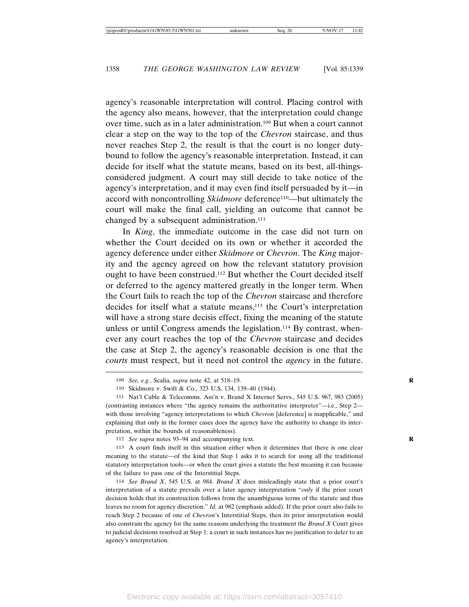agency's reasonable interpretation will control. Placing control with the agency also means, however, that the interpretation could change over time, such as in a later administration.109 But when a court cannot clear a step on the way to the top of the *Chevron* staircase, and thus never reaches Step 2, the result is that the court is no longer dutybound to follow the agency's reasonable interpretation. Instead, it can decide for itself what the statute means, based on its best, all-thingsconsidered judgment. A court may still decide to take notice of the agency's interpretation, and it may even find itself persuaded by it—in accord with noncontrolling *Skidmore* deference<sup>110</sup>—but ultimately the court will make the final call, yielding an outcome that cannot be changed by a subsequent administration.<sup>111</sup>

In *King*, the immediate outcome in the case did not turn on whether the Court decided on its own or whether it accorded the agency deference under either *Skidmore* or *Chevron*. The *King* majority and the agency agreed on how the relevant statutory provision ought to have been construed.112 But whether the Court decided itself or deferred to the agency mattered greatly in the longer term. When the Court fails to reach the top of the *Chevron* staircase and therefore decides for itself what a statute means,<sup>113</sup> the Court's interpretation will have a strong stare decisis effect, fixing the meaning of the statute unless or until Congress amends the legislation.<sup>114</sup> By contrast, whenever any court reaches the top of the *Chevron* staircase and decides the case at Step 2, the agency's reasonable decision is one that the *courts* must respect, but it need not control the *agency* in the future.

112 *See supra* notes 93–94 and accompanying text.

113 A court finds itself in this situation either when it determines that there is one clear meaning to the statute—of the kind that Step 1 asks it to search for using all the traditional statutory interpretation tools—or when the court gives a statute the best meaning it can because of the failure to pass one of the Interstitial Steps.

114 *See Brand X*, 545 U.S. at 984. *Brand X* does misleadingly state that a prior court's interpretation of a statute prevails over a later agency interpretation "*only* if the prior court decision holds that its construction follows from the unambiguous terms of the statute and thus leaves no room for agency discretion." *Id.* at 982 (emphasis added). If the prior court also fails to reach Step 2 because of one of *Chevron*'s Interstitial Steps, then its prior interpretation would also constrain the agency for the same reasons underlying the treatment the *Brand X* Court gives to judicial decisions resolved at Step 1: a court in such instances has no justification to defer to an agency's interpretation.

<sup>109</sup> *See, e.g.*, Scalia, *supra* note 42, at 518–19. **R**

<sup>110</sup> Skidmore v. Swift & Co., 323 U.S. 134, 139–40 (1944).

<sup>111</sup> Nat'l Cable & Telecomms. Ass'n v. Brand X Internet Servs., 545 U.S. 967, 983 (2005) (contrasting instances where "the agency remains the authoritative interpreter"—i.e., Step 2 with those involving "agency interpretations to which *Chevron* [deference] is inapplicable," and explaining that only in the former cases does the agency have the authority to change its interpretation, within the bounds of reasonableness).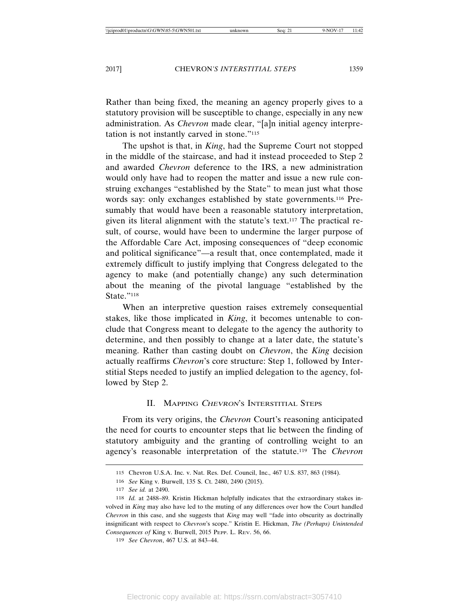Rather than being fixed, the meaning an agency properly gives to a statutory provision will be susceptible to change, especially in any new administration. As *Chevron* made clear, "[a]n initial agency interpretation is not instantly carved in stone."115

The upshot is that, in *King*, had the Supreme Court not stopped in the middle of the staircase, and had it instead proceeded to Step 2 and awarded *Chevron* deference to the IRS, a new administration would only have had to reopen the matter and issue a new rule construing exchanges "established by the State" to mean just what those words say: only exchanges established by state governments.116 Presumably that would have been a reasonable statutory interpretation, given its literal alignment with the statute's text.117 The practical result, of course, would have been to undermine the larger purpose of the Affordable Care Act, imposing consequences of "deep economic and political significance"—a result that, once contemplated, made it extremely difficult to justify implying that Congress delegated to the agency to make (and potentially change) any such determination about the meaning of the pivotal language "established by the State."118

When an interpretive question raises extremely consequential stakes, like those implicated in *King*, it becomes untenable to conclude that Congress meant to delegate to the agency the authority to determine, and then possibly to change at a later date, the statute's meaning. Rather than casting doubt on *Chevron*, the *King* decision actually reaffirms *Chevron*'s core structure: Step 1, followed by Interstitial Steps needed to justify an implied delegation to the agency, followed by Step 2.

#### II. MAPPING CHEVRON'S INTERSTITIAL STEPS

From its very origins, the *Chevron* Court's reasoning anticipated the need for courts to encounter steps that lie between the finding of statutory ambiguity and the granting of controlling weight to an agency's reasonable interpretation of the statute.119 The *Chevron*

<sup>115</sup> Chevron U.S.A. Inc. v. Nat. Res. Def. Council, Inc., 467 U.S. 837, 863 (1984).

<sup>116</sup> *See* King v. Burwell, 135 S. Ct. 2480, 2490 (2015).

<sup>117</sup> *See id.* at 2490.

<sup>118</sup> *Id.* at 2488–89. Kristin Hickman helpfully indicates that the extraordinary stakes involved in *King* may also have led to the muting of any differences over how the Court handled *Chevron* in this case, and she suggests that *King* may well "fade into obscurity as doctrinally insignificant with respect to *Chevron*'s scope." Kristin E. Hickman, *The (Perhaps) Unintended Consequences of* King v. Burwell, 2015 PEPP. L. REV. 56, 66.

<sup>119</sup> *See Chevron*, 467 U.S. at 843–44.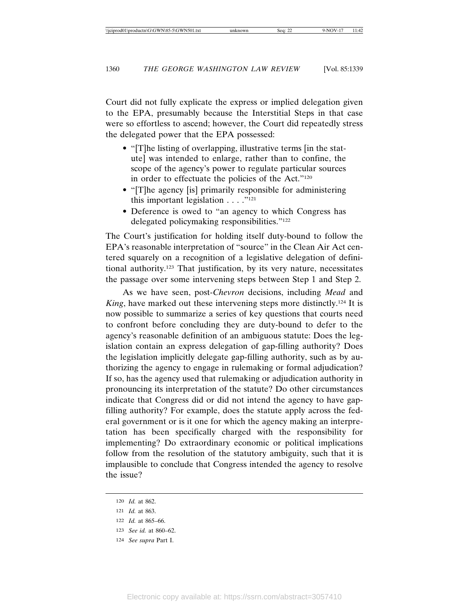Court did not fully explicate the express or implied delegation given to the EPA, presumably because the Interstitial Steps in that case were so effortless to ascend; however, the Court did repeatedly stress the delegated power that the EPA possessed:

- "[T]he listing of overlapping, illustrative terms [in the statute] was intended to enlarge, rather than to confine, the scope of the agency's power to regulate particular sources in order to effectuate the policies of the Act."<sup>120</sup>
- "[T]he agency [is] primarily responsible for administering this important legislation  $\dots$ ."<sup>121</sup>
- Deference is owed to "an agency to which Congress has delegated policymaking responsibilities."122

The Court's justification for holding itself duty-bound to follow the EPA's reasonable interpretation of "source" in the Clean Air Act centered squarely on a recognition of a legislative delegation of definitional authority.123 That justification, by its very nature, necessitates the passage over some intervening steps between Step 1 and Step 2.

As we have seen, post-*Chevron* decisions, including *Mead* and *King*, have marked out these intervening steps more distinctly.<sup>124</sup> It is now possible to summarize a series of key questions that courts need to confront before concluding they are duty-bound to defer to the agency's reasonable definition of an ambiguous statute: Does the legislation contain an express delegation of gap-filling authority? Does the legislation implicitly delegate gap-filling authority, such as by authorizing the agency to engage in rulemaking or formal adjudication? If so, has the agency used that rulemaking or adjudication authority in pronouncing its interpretation of the statute? Do other circumstances indicate that Congress did or did not intend the agency to have gapfilling authority? For example, does the statute apply across the federal government or is it one for which the agency making an interpretation has been specifically charged with the responsibility for implementing? Do extraordinary economic or political implications follow from the resolution of the statutory ambiguity, such that it is implausible to conclude that Congress intended the agency to resolve the issue?

<sup>120</sup> *Id.* at 862.

<sup>121</sup> *Id.* at 863.

<sup>122</sup> *Id.* at 865–66.

<sup>123</sup> *See id.* at 860–62.

<sup>124</sup> *See supra* Part I.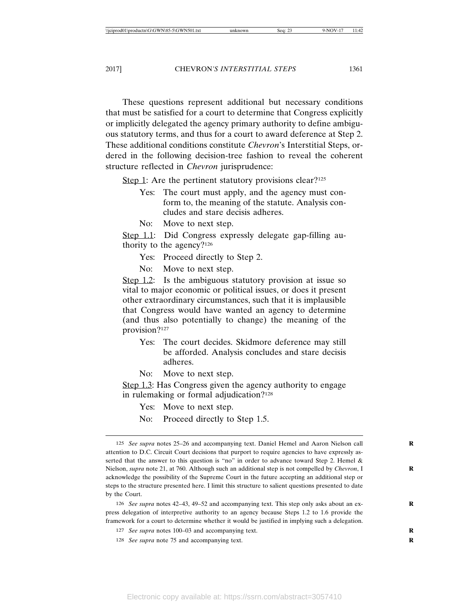These questions represent additional but necessary conditions that must be satisfied for a court to determine that Congress explicitly or implicitly delegated the agency primary authority to define ambiguous statutory terms, and thus for a court to award deference at Step 2. These additional conditions constitute *Chevron*'s Interstitial Steps, ordered in the following decision-tree fashion to reveal the coherent structure reflected in *Chevron* jurisprudence:

Step 1: Are the pertinent statutory provisions clear?<sup>125</sup>

- Yes: The court must apply, and the agency must conform to, the meaning of the statute. Analysis concludes and stare decisis adheres.
- No: Move to next step.

Step 1.1: Did Congress expressly delegate gap-filling authority to the agency?126

- Yes: Proceed directly to Step 2.
- No: Move to next step.

Step 1.2: Is the ambiguous statutory provision at issue so vital to major economic or political issues, or does it present other extraordinary circumstances, such that it is implausible that Congress would have wanted an agency to determine (and thus also potentially to change) the meaning of the provision?127

- Yes: The court decides. Skidmore deference may still be afforded. Analysis concludes and stare decisis adheres.
- No: Move to next step.

Step 1.3: Has Congress given the agency authority to engage in rulemaking or formal adjudication?128

Yes: Move to next step.

No: Proceed directly to Step 1.5.

126 *See supra* notes 42–43, 49–52 and accompanying text. This step only asks about an express delegation of interpretive authority to an agency because Steps 1.2 to 1.6 provide the framework for a court to determine whether it would be justified in implying such a delegation.

127 *See supra* notes 100–03 and accompanying text.

128 *See supra* note 75 and accompanying text.

<sup>125</sup> *See supra* notes 25–26 and accompanying text. Daniel Hemel and Aaron Nielson call **R** attention to D.C. Circuit Court decisions that purport to require agencies to have expressly asserted that the answer to this question is "no" in order to advance toward Step 2. Hemel & Nielson, *supra* note 21, at 760. Although such an additional step is not compelled by *Chevron*, I **R** acknowledge the possibility of the Supreme Court in the future accepting an additional step or steps to the structure presented here. I limit this structure to salient questions presented to date by the Court.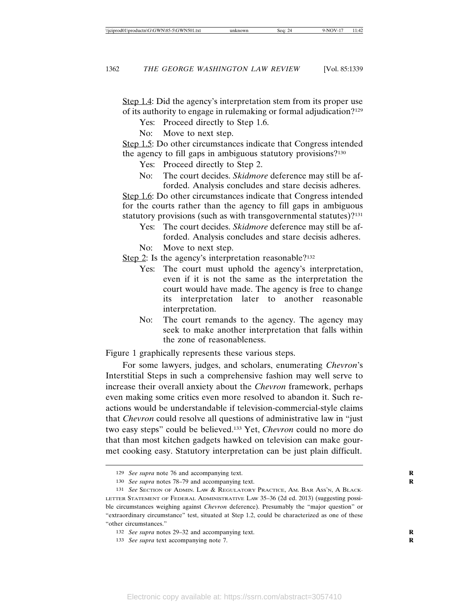Step 1.4: Did the agency's interpretation stem from its proper use of its authority to engage in rulemaking or formal adjudication?129

- Yes: Proceed directly to Step 1.6.
- No: Move to next step.

Step 1.5: Do other circumstances indicate that Congress intended the agency to fill gaps in ambiguous statutory provisions?130

- Yes: Proceed directly to Step 2.
- No: The court decides. *Skidmore* deference may still be afforded. Analysis concludes and stare decisis adheres.

Step 1.6: Do other circumstances indicate that Congress intended for the courts rather than the agency to fill gaps in ambiguous statutory provisions (such as with transgovernmental statutes)?<sup>131</sup>

- Yes: The court decides. *Skidmore* deference may still be afforded. Analysis concludes and stare decisis adheres.
- No: Move to next step.
- Step 2: Is the agency's interpretation reasonable?<sup>132</sup>
	- Yes: The court must uphold the agency's interpretation, even if it is not the same as the interpretation the court would have made. The agency is free to change its interpretation later to another reasonable interpretation.
	- No: The court remands to the agency. The agency may seek to make another interpretation that falls within the zone of reasonableness.

Figure 1 graphically represents these various steps.

For some lawyers, judges, and scholars, enumerating *Chevron*'s Interstitial Steps in such a comprehensive fashion may well serve to increase their overall anxiety about the *Chevron* framework, perhaps even making some critics even more resolved to abandon it. Such reactions would be understandable if television-commercial-style claims that *Chevron* could resolve all questions of administrative law in "just two easy steps" could be believed.133 Yet, *Chevron* could no more do that than most kitchen gadgets hawked on television can make gourmet cooking easy. Statutory interpretation can be just plain difficult.

133 *See supra* text accompanying note 7.

<sup>129</sup> *See supra* note 76 and accompanying text.

<sup>130</sup> *See supra* notes 78–79 and accompanying text.

<sup>131</sup> *See* SECTION OF ADMIN. LAW & REGULATORY PRACTICE, AM. BAR ASS'N, A BLACK-LETTER STATEMENT OF FEDERAL ADMINISTRATIVE LAW 35–36 (2d ed. 2013) (suggesting possible circumstances weighing against *Chevron* deference). Presumably the "major question" or "extraordinary circumstance" test, situated at Step 1.2, could be characterized as one of these "other circumstances."

<sup>132</sup> *See supra* notes 29–32 and accompanying text.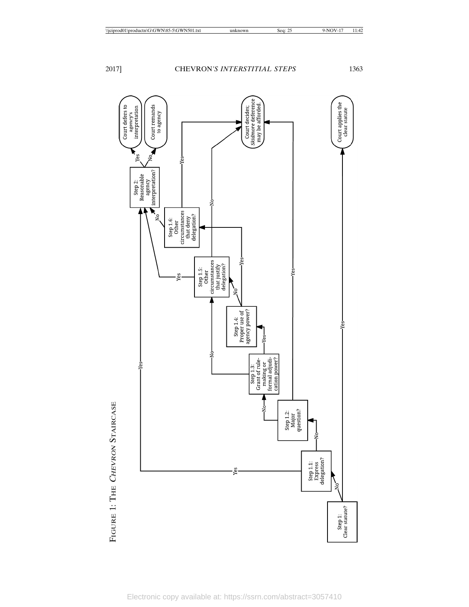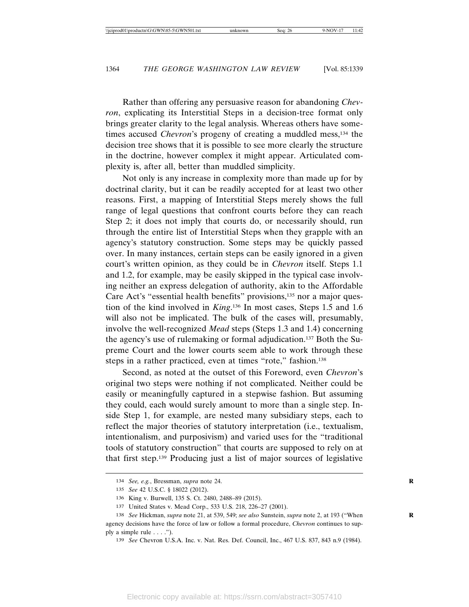Rather than offering any persuasive reason for abandoning *Chevron*, explicating its Interstitial Steps in a decision-tree format only brings greater clarity to the legal analysis. Whereas others have sometimes accused *Chevron*'s progeny of creating a muddled mess,<sup>134</sup> the decision tree shows that it is possible to see more clearly the structure in the doctrine, however complex it might appear. Articulated complexity is, after all, better than muddled simplicity.

Not only is any increase in complexity more than made up for by doctrinal clarity, but it can be readily accepted for at least two other reasons. First, a mapping of Interstitial Steps merely shows the full range of legal questions that confront courts before they can reach Step 2; it does not imply that courts do, or necessarily should, run through the entire list of Interstitial Steps when they grapple with an agency's statutory construction. Some steps may be quickly passed over. In many instances, certain steps can be easily ignored in a given court's written opinion, as they could be in *Chevron* itself. Steps 1.1 and 1.2, for example, may be easily skipped in the typical case involving neither an express delegation of authority, akin to the Affordable Care Act's "essential health benefits" provisions,<sup>135</sup> nor a major question of the kind involved in *King*.<sup>136</sup> In most cases, Steps 1.5 and 1.6 will also not be implicated. The bulk of the cases will, presumably, involve the well-recognized *Mead* steps (Steps 1.3 and 1.4) concerning the agency's use of rulemaking or formal adjudication.137 Both the Supreme Court and the lower courts seem able to work through these steps in a rather practiced, even at times "rote," fashion.<sup>138</sup>

Second, as noted at the outset of this Foreword, even *Chevron*'s original two steps were nothing if not complicated. Neither could be easily or meaningfully captured in a stepwise fashion. But assuming they could, each would surely amount to more than a single step. Inside Step 1, for example, are nested many subsidiary steps, each to reflect the major theories of statutory interpretation (i.e., textualism, intentionalism, and purposivism) and varied uses for the "traditional tools of statutory construction" that courts are supposed to rely on at that first step.139 Producing just a list of major sources of legislative

<sup>134</sup> *See, e.g., Bressman, supra note 24.* 

<sup>135</sup> *See* 42 U.S.C. § 18022 (2012).

<sup>136</sup> King v. Burwell, 135 S. Ct. 2480, 2488–89 (2015).

<sup>137</sup> United States v. Mead Corp., 533 U.S. 218, 226–27 (2001).

<sup>138</sup> *See* Hickman, *supra* note 21, at 539, 549; *see also* Sunstein, *supra* note 2, at 193 ("When **R** agency decisions have the force of law or follow a formal procedure, *Chevron* continues to supply a simple rule  $\dots$ .").

<sup>139</sup> *See* Chevron U.S.A. Inc. v. Nat. Res. Def. Council, Inc., 467 U.S. 837, 843 n.9 (1984).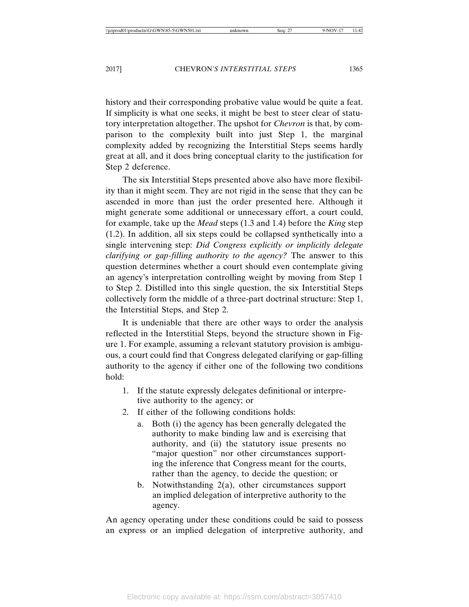history and their corresponding probative value would be quite a feat. If simplicity is what one seeks, it might be best to steer clear of statutory interpretation altogether. The upshot for *Chevron* is that, by comparison to the complexity built into just Step 1, the marginal complexity added by recognizing the Interstitial Steps seems hardly great at all, and it does bring conceptual clarity to the justification for Step 2 deference.

The six Interstitial Steps presented above also have more flexibility than it might seem. They are not rigid in the sense that they can be ascended in more than just the order presented here. Although it might generate some additional or unnecessary effort, a court could, for example, take up the *Mead* steps (1.3 and 1.4) before the *King* step (1.2). In addition, all six steps could be collapsed synthetically into a single intervening step: *Did Congress explicitly or implicitly delegate clarifying or gap-filling authority to the agency?* The answer to this question determines whether a court should even contemplate giving an agency's interpretation controlling weight by moving from Step 1 to Step 2. Distilled into this single question, the six Interstitial Steps collectively form the middle of a three-part doctrinal structure: Step 1, the Interstitial Steps, and Step 2.

It is undeniable that there are other ways to order the analysis reflected in the Interstitial Steps, beyond the structure shown in Figure 1. For example, assuming a relevant statutory provision is ambiguous, a court could find that Congress delegated clarifying or gap-filling authority to the agency if either one of the following two conditions hold:

- 1. If the statute expressly delegates definitional or interpretive authority to the agency; or
- 2. If either of the following conditions holds:
	- a. Both (i) the agency has been generally delegated the authority to make binding law and is exercising that authority, and (ii) the statutory issue presents no "major question" nor other circumstances supporting the inference that Congress meant for the courts, rather than the agency, to decide the question; or
	- b. Notwithstanding 2(a), other circumstances support an implied delegation of interpretive authority to the agency.

An agency operating under these conditions could be said to possess an express or an implied delegation of interpretive authority, and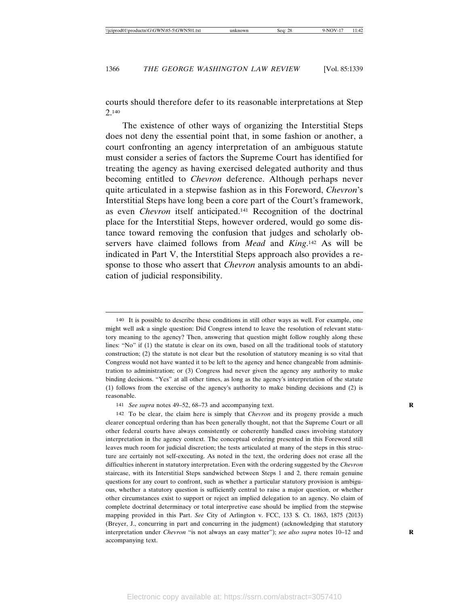courts should therefore defer to its reasonable interpretations at Step 2.140

The existence of other ways of organizing the Interstitial Steps does not deny the essential point that, in some fashion or another, a court confronting an agency interpretation of an ambiguous statute must consider a series of factors the Supreme Court has identified for treating the agency as having exercised delegated authority and thus becoming entitled to *Chevron* deference. Although perhaps never quite articulated in a stepwise fashion as in this Foreword, *Chevron*'s Interstitial Steps have long been a core part of the Court's framework, as even *Chevron* itself anticipated.141 Recognition of the doctrinal place for the Interstitial Steps, however ordered, would go some distance toward removing the confusion that judges and scholarly observers have claimed follows from *Mead* and *King*. 142 As will be indicated in Part V, the Interstitial Steps approach also provides a response to those who assert that *Chevron* analysis amounts to an abdication of judicial responsibility.

141 *See supra* notes 49–52, 68–73 and accompanying text.

142 To be clear, the claim here is simply that *Chevron* and its progeny provide a much clearer conceptual ordering than has been generally thought, not that the Supreme Court or all other federal courts have always consistently or coherently handled cases involving statutory interpretation in the agency context. The conceptual ordering presented in this Foreword still leaves much room for judicial discretion; the tests articulated at many of the steps in this structure are certainly not self-executing. As noted in the text, the ordering does not erase all the difficulties inherent in statutory interpretation. Even with the ordering suggested by the *Chevron* staircase, with its Interstitial Steps sandwiched between Steps 1 and 2, there remain genuine questions for any court to confront, such as whether a particular statutory provision is ambiguous, whether a statutory question is sufficiently central to raise a major question, or whether other circumstances exist to support or reject an implied delegation to an agency. No claim of complete doctrinal determinacy or total interpretive ease should be implied from the stepwise mapping provided in this Part. *See* City of Arlington v. FCC, 133 S. Ct. 1863, 1875 (2013) (Breyer, J., concurring in part and concurring in the judgment) (acknowledging that statutory interpretation under *Chevron* "is not always an easy matter"); *see also supra* notes 10–12 and accompanying text.

<sup>140</sup> It is possible to describe these conditions in still other ways as well. For example, one might well ask a single question: Did Congress intend to leave the resolution of relevant statutory meaning to the agency? Then, answering that question might follow roughly along these lines: "No" if (1) the statute is clear on its own, based on all the traditional tools of statutory construction; (2) the statute is not clear but the resolution of statutory meaning is so vital that Congress would not have wanted it to be left to the agency and hence changeable from administration to administration; or (3) Congress had never given the agency any authority to make binding decisions. "Yes" at all other times, as long as the agency's interpretation of the statute (1) follows from the exercise of the agency's authority to make binding decisions and (2) is reasonable.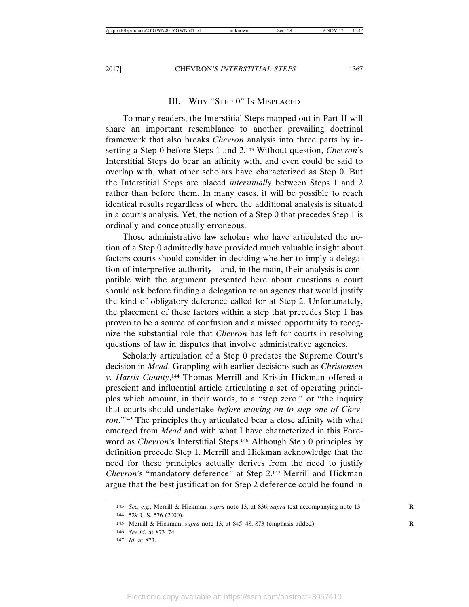#### III. WHY "STEP 0" IS MISPLACED

To many readers, the Interstitial Steps mapped out in Part II will share an important resemblance to another prevailing doctrinal framework that also breaks *Chevron* analysis into three parts by inserting a Step 0 before Steps 1 and 2.143 Without question, *Chevron*'s Interstitial Steps do bear an affinity with, and even could be said to overlap with, what other scholars have characterized as Step 0. But the Interstitial Steps are placed *interstitially* between Steps 1 and 2 rather than before them. In many cases, it will be possible to reach identical results regardless of where the additional analysis is situated in a court's analysis. Yet, the notion of a Step 0 that precedes Step 1 is ordinally and conceptually erroneous.

Those administrative law scholars who have articulated the notion of a Step 0 admittedly have provided much valuable insight about factors courts should consider in deciding whether to imply a delegation of interpretive authority—and, in the main, their analysis is compatible with the argument presented here about questions a court should ask before finding a delegation to an agency that would justify the kind of obligatory deference called for at Step 2. Unfortunately, the placement of these factors within a step that precedes Step 1 has proven to be a source of confusion and a missed opportunity to recognize the substantial role that *Chevron* has left for courts in resolving questions of law in disputes that involve administrative agencies.

Scholarly articulation of a Step 0 predates the Supreme Court's decision in *Mead*. Grappling with earlier decisions such as *Christensen v. Harris County*, 144 Thomas Merrill and Kristin Hickman offered a prescient and influential article articulating a set of operating principles which amount, in their words, to a "step zero," or "the inquiry that courts should undertake *before moving on to step one of Chevron*."145 The principles they articulated bear a close affinity with what emerged from *Mead* and with what I have characterized in this Foreword as *Chevron*'s Interstitial Steps.146 Although Step 0 principles by definition precede Step 1, Merrill and Hickman acknowledge that the need for these principles actually derives from the need to justify *Chevron*'s "mandatory deference" at Step 2.147 Merrill and Hickman argue that the best justification for Step 2 deference could be found in

<sup>143</sup> *See, e.g.*, Merrill & Hickman, *supra* note 13, at 836; *supra* text accompanying note 13. **R**

<sup>144</sup> 529 U.S. 576 (2000).

<sup>145</sup> Merrill & Hickman, *supra* note 13, at 845–48, 873 (emphasis added). **R**

<sup>146</sup> *See id.* at 873–74.

<sup>147</sup> *Id.* at 873.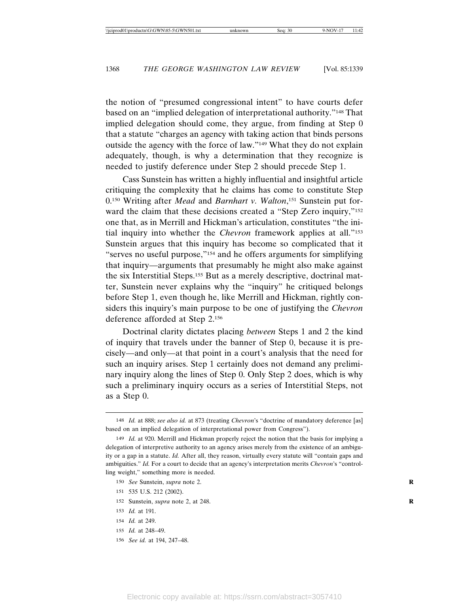the notion of "presumed congressional intent" to have courts defer based on an "implied delegation of interpretational authority."148 That implied delegation should come, they argue, from finding at Step 0 that a statute "charges an agency with taking action that binds persons outside the agency with the force of law."149 What they do not explain adequately, though, is why a determination that they recognize is needed to justify deference under Step 2 should precede Step 1.

Cass Sunstein has written a highly influential and insightful article critiquing the complexity that he claims has come to constitute Step 0.150 Writing after *Mead* and *Barnhart v. Walton*, 151 Sunstein put forward the claim that these decisions created a "Step Zero inquiry,"<sup>152</sup> one that, as in Merrill and Hickman's articulation, constitutes "the initial inquiry into whether the *Chevron* framework applies at all."153 Sunstein argues that this inquiry has become so complicated that it "serves no useful purpose,"154 and he offers arguments for simplifying that inquiry—arguments that presumably he might also make against the six Interstitial Steps.155 But as a merely descriptive, doctrinal matter, Sunstein never explains why the "inquiry" he critiqued belongs before Step 1, even though he, like Merrill and Hickman, rightly considers this inquiry's main purpose to be one of justifying the *Chevron* deference afforded at Step 2.156

Doctrinal clarity dictates placing *between* Steps 1 and 2 the kind of inquiry that travels under the banner of Step 0, because it is precisely—and only—at that point in a court's analysis that the need for such an inquiry arises. Step 1 certainly does not demand any preliminary inquiry along the lines of Step 0. Only Step 2 does, which is why such a preliminary inquiry occurs as a series of Interstitial Steps, not as a Step 0.

- 151 535 U.S. 212 (2002).
- 152 Sunstein, *supra* note 2, at 248. **R**

- 154 *Id.* at 249.
- 155 *Id.* at 248–49.
- 156 *See id.* at 194, 247–48.

<sup>148</sup> *Id.* at 888; *see also id.* at 873 (treating *Chevron*'s "doctrine of mandatory deference [as] based on an implied delegation of interpretational power from Congress").

<sup>149</sup> *Id.* at 920. Merrill and Hickman properly reject the notion that the basis for implying a delegation of interpretive authority to an agency arises merely from the existence of an ambiguity or a gap in a statute. *Id.* After all, they reason, virtually every statute will "contain gaps and ambiguities." *Id.* For a court to decide that an agency's interpretation merits *Chevron*'s "controlling weight," something more is needed.

<sup>150</sup> *See* Sunstein, *supra* note 2.

<sup>153</sup> *Id.* at 191.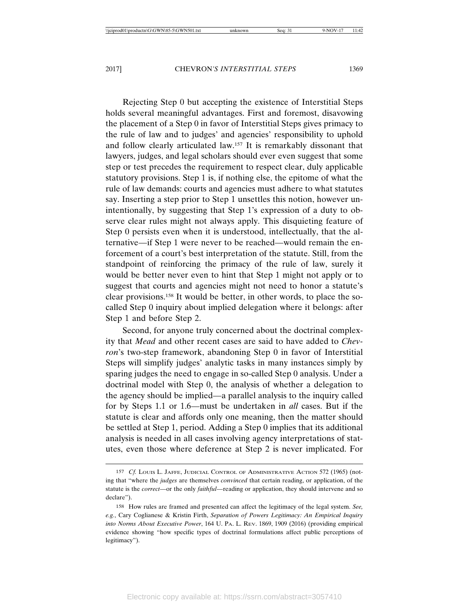Rejecting Step 0 but accepting the existence of Interstitial Steps holds several meaningful advantages. First and foremost, disavowing the placement of a Step 0 in favor of Interstitial Steps gives primacy to the rule of law and to judges' and agencies' responsibility to uphold and follow clearly articulated law.157 It is remarkably dissonant that lawyers, judges, and legal scholars should ever even suggest that some step or test precedes the requirement to respect clear, duly applicable statutory provisions. Step 1 is, if nothing else, the epitome of what the rule of law demands: courts and agencies must adhere to what statutes say. Inserting a step prior to Step 1 unsettles this notion, however unintentionally, by suggesting that Step 1's expression of a duty to observe clear rules might not always apply. This disquieting feature of Step 0 persists even when it is understood, intellectually, that the alternative—if Step 1 were never to be reached—would remain the enforcement of a court's best interpretation of the statute. Still, from the standpoint of reinforcing the primacy of the rule of law, surely it would be better never even to hint that Step 1 might not apply or to suggest that courts and agencies might not need to honor a statute's clear provisions.158 It would be better, in other words, to place the socalled Step 0 inquiry about implied delegation where it belongs: after Step 1 and before Step 2.

Second, for anyone truly concerned about the doctrinal complexity that *Mead* and other recent cases are said to have added to *Chevron*'s two-step framework, abandoning Step 0 in favor of Interstitial Steps will simplify judges' analytic tasks in many instances simply by sparing judges the need to engage in so-called Step 0 analysis. Under a doctrinal model with Step 0, the analysis of whether a delegation to the agency should be implied—a parallel analysis to the inquiry called for by Steps 1.1 or 1.6—must be undertaken in *all* cases. But if the statute is clear and affords only one meaning, then the matter should be settled at Step 1, period. Adding a Step 0 implies that its additional analysis is needed in all cases involving agency interpretations of statutes, even those where deference at Step 2 is never implicated. For

<sup>157</sup> *Cf.* LOUIS L. JAFFE, JUDICIAL CONTROL OF ADMINISTRATIVE ACTION 572 (1965) (noting that "where the *judges* are themselves *convinced* that certain reading, or application, of the statute is the *correct*—or the only *faithful*—reading or application, they should intervene and so declare").

<sup>158</sup> How rules are framed and presented can affect the legitimacy of the legal system. *See, e.g.*, Cary Coglianese & Kristin Firth, *Separation of Powers Legitimacy: An Empirical Inquiry into Norms About Executive Power*, 164 U. PA. L. REV. 1869, 1909 (2016) (providing empirical evidence showing "how specific types of doctrinal formulations affect public perceptions of legitimacy").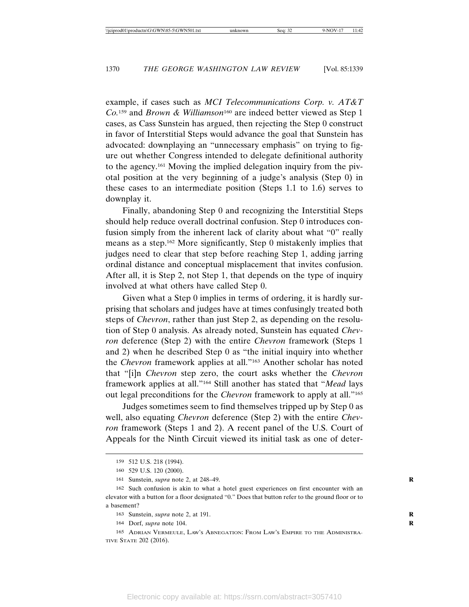example, if cases such as *MCI Telecommunications Corp. v. AT&T Co.*159 and *Brown & Williamson*160 are indeed better viewed as Step 1 cases, as Cass Sunstein has argued, then rejecting the Step 0 construct in favor of Interstitial Steps would advance the goal that Sunstein has advocated: downplaying an "unnecessary emphasis" on trying to figure out whether Congress intended to delegate definitional authority to the agency.161 Moving the implied delegation inquiry from the pivotal position at the very beginning of a judge's analysis (Step 0) in these cases to an intermediate position (Steps 1.1 to 1.6) serves to downplay it.

Finally, abandoning Step 0 and recognizing the Interstitial Steps should help reduce overall doctrinal confusion. Step 0 introduces confusion simply from the inherent lack of clarity about what "0" really means as a step.162 More significantly, Step 0 mistakenly implies that judges need to clear that step before reaching Step 1, adding jarring ordinal distance and conceptual misplacement that invites confusion. After all, it is Step 2, not Step 1, that depends on the type of inquiry involved at what others have called Step 0.

Given what a Step 0 implies in terms of ordering, it is hardly surprising that scholars and judges have at times confusingly treated both steps of *Chevron*, rather than just Step 2, as depending on the resolution of Step 0 analysis. As already noted, Sunstein has equated *Chevron* deference (Step 2) with the entire *Chevron* framework (Steps 1 and 2) when he described Step 0 as "the initial inquiry into whether the *Chevron* framework applies at all."163 Another scholar has noted that "[i]n *Chevron* step zero, the court asks whether the *Chevron* framework applies at all."164 Still another has stated that "*Mead* lays out legal preconditions for the *Chevron* framework to apply at all."165

Judges sometimes seem to find themselves tripped up by Step 0 as well, also equating *Chevron* deference (Step 2) with the entire *Chevron* framework (Steps 1 and 2). A recent panel of the U.S. Court of Appeals for the Ninth Circuit viewed its initial task as one of deter-

<sup>159</sup> 512 U.S. 218 (1994).

<sup>160</sup> 529 U.S. 120 (2000).

<sup>161</sup> Sunstein, *supra* note 2, at 248–49. **R**

<sup>162</sup> Such confusion is akin to what a hotel guest experiences on first encounter with an elevator with a button for a floor designated "0." Does that button refer to the ground floor or to a basement?

<sup>163</sup> Sunstein, *supra* note 2, at 191. **R**

<sup>164</sup> Dorf, *supra* note 104. **R**

<sup>165</sup> ADRIAN VERMEULE, LAW'S ABNEGATION: FROM LAW'S EMPIRE TO THE ADMINISTRA-TIVE STATE 202 (2016).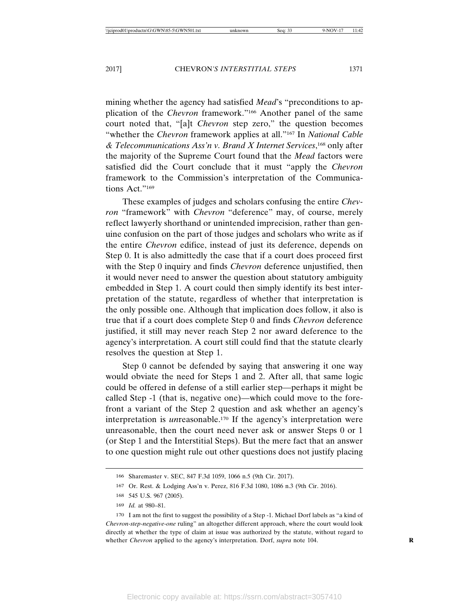mining whether the agency had satisfied *Mead*'s "preconditions to application of the *Chevron* framework."166 Another panel of the same court noted that, "[a]t *Chevron* step zero," the question becomes "whether the *Chevron* framework applies at all."167 In *National Cable & Telecommunications Ass'n v. Brand X Internet Services*, 168 only after the majority of the Supreme Court found that the *Mead* factors were satisfied did the Court conclude that it must "apply the *Chevron* framework to the Commission's interpretation of the Communications Act."<sup>169</sup>

These examples of judges and scholars confusing the entire *Chevron* "framework" with *Chevron* "deference" may, of course, merely reflect lawyerly shorthand or unintended imprecision, rather than genuine confusion on the part of those judges and scholars who write as if the entire *Chevron* edifice, instead of just its deference, depends on Step 0. It is also admittedly the case that if a court does proceed first with the Step 0 inquiry and finds *Chevron* deference unjustified, then it would never need to answer the question about statutory ambiguity embedded in Step 1. A court could then simply identify its best interpretation of the statute, regardless of whether that interpretation is the only possible one. Although that implication does follow, it also is true that if a court does complete Step 0 and finds *Chevron* deference justified, it still may never reach Step 2 nor award deference to the agency's interpretation. A court still could find that the statute clearly resolves the question at Step 1.

Step 0 cannot be defended by saying that answering it one way would obviate the need for Steps 1 and 2. After all, that same logic could be offered in defense of a still earlier step—perhaps it might be called Step -1 (that is, negative one)—which could move to the forefront a variant of the Step 2 question and ask whether an agency's interpretation is *un*reasonable.170 If the agency's interpretation were unreasonable, then the court need never ask or answer Steps 0 or 1 (or Step 1 and the Interstitial Steps). But the mere fact that an answer to one question might rule out other questions does not justify placing

<sup>166</sup> Sharemaster v. SEC, 847 F.3d 1059, 1066 n.5 (9th Cir. 2017).

<sup>167</sup> Or. Rest. & Lodging Ass'n v. Perez, 816 F.3d 1080, 1086 n.3 (9th Cir. 2016).

<sup>168</sup> 545 U.S. 967 (2005).

<sup>169</sup> *Id.* at 980–81.

<sup>170</sup> I am not the first to suggest the possibility of a Step -1. Michael Dorf labels as "a kind of *Chevron-step-negative-one* ruling" an altogether different approach, where the court would look directly at whether the type of claim at issue was authorized by the statute, without regard to whether *Chevron* applied to the agency's interpretation. Dorf, *supra* note 104.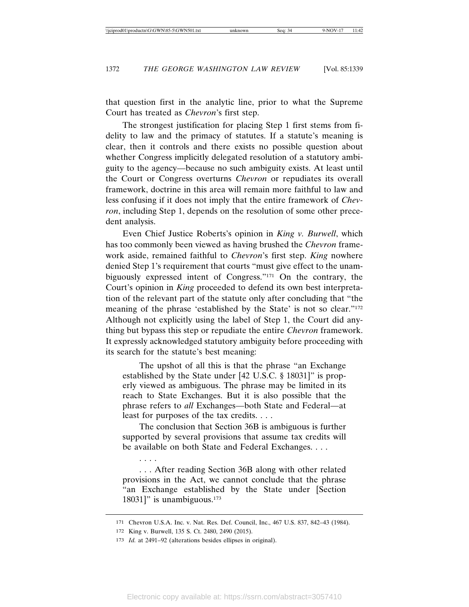that question first in the analytic line, prior to what the Supreme Court has treated as *Chevron*'s first step.

The strongest justification for placing Step 1 first stems from fidelity to law and the primacy of statutes. If a statute's meaning is clear, then it controls and there exists no possible question about whether Congress implicitly delegated resolution of a statutory ambiguity to the agency—because no such ambiguity exists. At least until the Court or Congress overturns *Chevron* or repudiates its overall framework, doctrine in this area will remain more faithful to law and less confusing if it does not imply that the entire framework of *Chevron*, including Step 1, depends on the resolution of some other precedent analysis.

Even Chief Justice Roberts's opinion in *King v. Burwell*, which has too commonly been viewed as having brushed the *Chevron* framework aside, remained faithful to *Chevron*'s first step. *King* nowhere denied Step 1's requirement that courts "must give effect to the unambiguously expressed intent of Congress."171 On the contrary, the Court's opinion in *King* proceeded to defend its own best interpretation of the relevant part of the statute only after concluding that "the meaning of the phrase 'established by the State' is not so clear."172 Although not explicitly using the label of Step 1, the Court did anything but bypass this step or repudiate the entire *Chevron* framework. It expressly acknowledged statutory ambiguity before proceeding with its search for the statute's best meaning:

The upshot of all this is that the phrase "an Exchange established by the State under [42 U.S.C. § 18031]" is properly viewed as ambiguous. The phrase may be limited in its reach to State Exchanges. But it is also possible that the phrase refers to *all* Exchanges—both State and Federal—at least for purposes of the tax credits. . . .

The conclusion that Section 36B is ambiguous is further supported by several provisions that assume tax credits will be available on both State and Federal Exchanges. . . .

. . . After reading Section 36B along with other related provisions in the Act, we cannot conclude that the phrase "an Exchange established by the State under [Section 18031]" is unambiguous. $173$ 

. . . .

<sup>171</sup> Chevron U.S.A. Inc. v. Nat. Res. Def. Council, Inc., 467 U.S. 837, 842–43 (1984).

<sup>172</sup> King v. Burwell, 135 S. Ct. 2480, 2490 (2015).

<sup>173</sup> *Id.* at 2491–92 (alterations besides ellipses in original).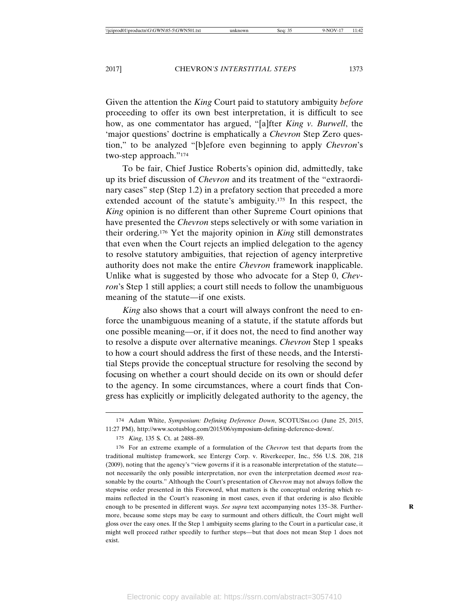Given the attention the *King* Court paid to statutory ambiguity *before* proceeding to offer its own best interpretation, it is difficult to see how, as one commentator has argued, "[a]fter *King v. Burwell*, the 'major questions' doctrine is emphatically a *Chevron* Step Zero question," to be analyzed "[b]efore even beginning to apply *Chevron*'s two-step approach."174

To be fair, Chief Justice Roberts's opinion did, admittedly, take up its brief discussion of *Chevron* and its treatment of the "extraordinary cases" step (Step 1.2) in a prefatory section that preceded a more extended account of the statute's ambiguity.175 In this respect, the *King* opinion is no different than other Supreme Court opinions that have presented the *Chevron* steps selectively or with some variation in their ordering.176 Yet the majority opinion in *King* still demonstrates that even when the Court rejects an implied delegation to the agency to resolve statutory ambiguities, that rejection of agency interpretive authority does not make the entire *Chevron* framework inapplicable. Unlike what is suggested by those who advocate for a Step 0, *Chevron*'s Step 1 still applies; a court still needs to follow the unambiguous meaning of the statute—if one exists.

*King* also shows that a court will always confront the need to enforce the unambiguous meaning of a statute, if the statute affords but one possible meaning—or, if it does not, the need to find another way to resolve a dispute over alternative meanings. *Chevron* Step 1 speaks to how a court should address the first of these needs, and the Interstitial Steps provide the conceptual structure for resolving the second by focusing on whether a court should decide on its own or should defer to the agency. In some circumstances, where a court finds that Congress has explicitly or implicitly delegated authority to the agency, the

<sup>174</sup> Adam White, *Symposium: Defining Deference Down*, SCOTUSBLOG (June 25, 2015, 11:27 PM), http://www.scotusblog.com/2015/06/symposium-defining-deference-down/.

<sup>175</sup> *King*, 135 S. Ct. at 2488–89.

<sup>176</sup> For an extreme example of a formulation of the *Chevron* test that departs from the traditional multistep framework, see Entergy Corp. v. Riverkeeper, Inc., 556 U.S. 208, 218 (2009), noting that the agency's "view governs if it is a reasonable interpretation of the statute not necessarily the only possible interpretation, nor even the interpretation deemed *most* reasonable by the courts." Although the Court's presentation of *Chevron* may not always follow the stepwise order presented in this Foreword, what matters is the conceptual ordering which remains reflected in the Court's reasoning in most cases, even if that ordering is also flexible enough to be presented in different ways. See supra text accompanying notes 135-38. Furthermore, because some steps may be easy to surmount and others difficult, the Court might well gloss over the easy ones. If the Step 1 ambiguity seems glaring to the Court in a particular case, it might well proceed rather speedily to further steps—but that does not mean Step 1 does not exist.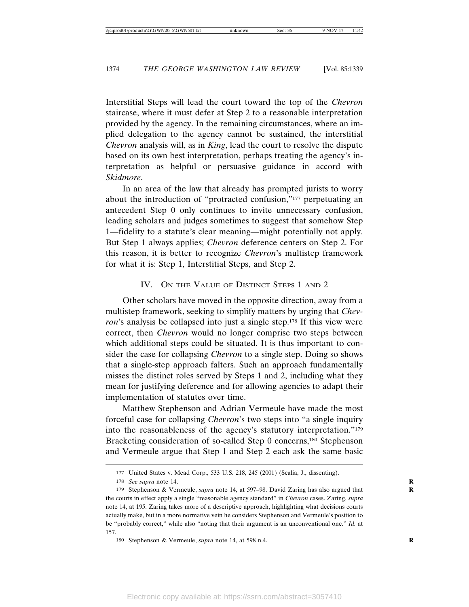Interstitial Steps will lead the court toward the top of the *Chevron* staircase, where it must defer at Step 2 to a reasonable interpretation provided by the agency. In the remaining circumstances, where an implied delegation to the agency cannot be sustained, the interstitial *Chevron* analysis will, as in *King*, lead the court to resolve the dispute based on its own best interpretation, perhaps treating the agency's interpretation as helpful or persuasive guidance in accord with *Skidmore*.

In an area of the law that already has prompted jurists to worry about the introduction of "protracted confusion,"177 perpetuating an antecedent Step 0 only continues to invite unnecessary confusion, leading scholars and judges sometimes to suggest that somehow Step 1—fidelity to a statute's clear meaning—might potentially not apply. But Step 1 always applies; *Chevron* deference centers on Step 2. For this reason, it is better to recognize *Chevron*'s multistep framework for what it is: Step 1, Interstitial Steps, and Step 2.

#### IV. ON THE VALUE OF DISTINCT STEPS 1 AND 2

Other scholars have moved in the opposite direction, away from a multistep framework, seeking to simplify matters by urging that *Chevron*'s analysis be collapsed into just a single step.<sup>178</sup> If this view were correct, then *Chevron* would no longer comprise two steps between which additional steps could be situated. It is thus important to consider the case for collapsing *Chevron* to a single step. Doing so shows that a single-step approach falters. Such an approach fundamentally misses the distinct roles served by Steps 1 and 2, including what they mean for justifying deference and for allowing agencies to adapt their implementation of statutes over time.

Matthew Stephenson and Adrian Vermeule have made the most forceful case for collapsing *Chevron*'s two steps into "a single inquiry into the reasonableness of the agency's statutory interpretation."179 Bracketing consideration of so-called Step 0 concerns,<sup>180</sup> Stephenson and Vermeule argue that Step 1 and Step 2 each ask the same basic

<sup>177</sup> United States v. Mead Corp., 533 U.S. 218, 245 (2001) (Scalia, J., dissenting).

<sup>178</sup> *See supra* note 14. **R**

<sup>179</sup> Stephenson & Vermeule, *supra* note 14, at 597–98. David Zaring has also argued that **R** the courts in effect apply a single "reasonable agency standard" in *Chevron* cases. Zaring, *supra* note 14, at 195. Zaring takes more of a descriptive approach, highlighting what decisions courts actually make, but in a more normative vein he considers Stephenson and Vermeule's position to be "probably correct," while also "noting that their argument is an unconventional one." *Id.* at 157.

<sup>180</sup> Stephenson & Vermeule, *supra* note 14, at 598 n.4. **R**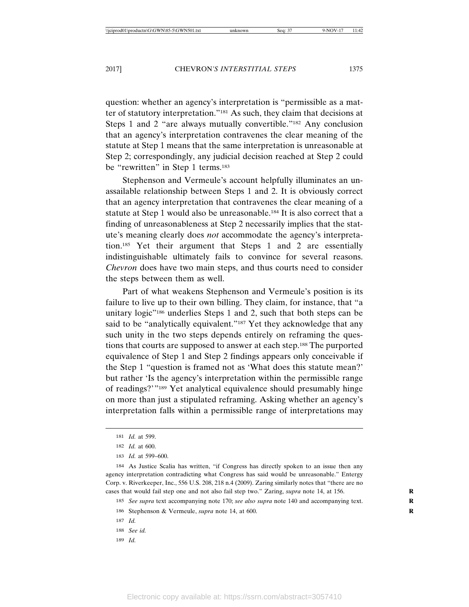question: whether an agency's interpretation is "permissible as a matter of statutory interpretation."181 As such, they claim that decisions at Steps 1 and 2 "are always mutually convertible."182 Any conclusion that an agency's interpretation contravenes the clear meaning of the statute at Step 1 means that the same interpretation is unreasonable at Step 2; correspondingly, any judicial decision reached at Step 2 could be "rewritten" in Step 1 terms.<sup>183</sup>

Stephenson and Vermeule's account helpfully illuminates an unassailable relationship between Steps 1 and 2. It is obviously correct that an agency interpretation that contravenes the clear meaning of a statute at Step 1 would also be unreasonable.184 It is also correct that a finding of unreasonableness at Step 2 necessarily implies that the statute's meaning clearly does *not* accommodate the agency's interpretation.185 Yet their argument that Steps 1 and 2 are essentially indistinguishable ultimately fails to convince for several reasons. *Chevron* does have two main steps, and thus courts need to consider the steps between them as well.

Part of what weakens Stephenson and Vermeule's position is its failure to live up to their own billing. They claim, for instance, that "a unitary logic<sup>"186</sup> underlies Steps 1 and 2, such that both steps can be said to be "analytically equivalent."<sup>187</sup> Yet they acknowledge that any such unity in the two steps depends entirely on reframing the questions that courts are supposed to answer at each step.188 The purported equivalence of Step 1 and Step 2 findings appears only conceivable if the Step 1 "question is framed not as 'What does this statute mean?' but rather 'Is the agency's interpretation within the permissible range of readings?'"189 Yet analytical equivalence should presumably hinge on more than just a stipulated reframing. Asking whether an agency's interpretation falls within a permissible range of interpretations may

185 *See supra* text accompanying note 170; *see also supra* note 140 and accompanying text. **R**

189 *Id.*

<sup>181</sup> *Id.* at 599.

<sup>182</sup> *Id.* at 600.

<sup>183</sup> *Id.* at 599–600.

<sup>184</sup> As Justice Scalia has written, "if Congress has directly spoken to an issue then any agency interpretation contradicting what Congress has said would be unreasonable." Entergy Corp. v. Riverkeeper, Inc., 556 U.S. 208, 218 n.4 (2009). Zaring similarly notes that "there are no cases that would fail step one and not also fail step two." Zaring, *supra* note 14, at 156. **R**

<sup>186</sup> Stephenson & Vermeule, *supra* note 14, at 600. **R**

<sup>187</sup> *Id.*

<sup>188</sup> *See id.*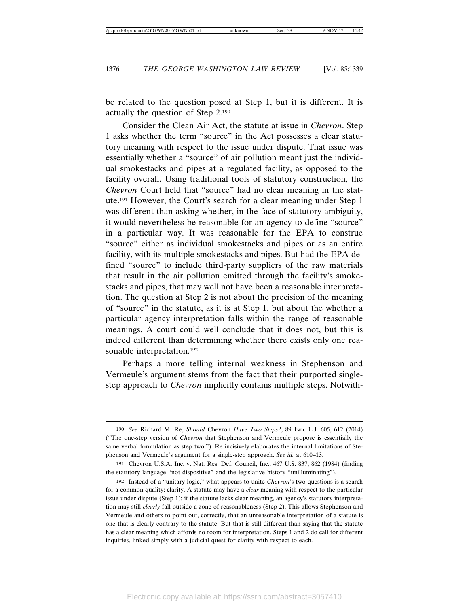be related to the question posed at Step 1, but it is different. It is actually the question of Step 2.190

Consider the Clean Air Act, the statute at issue in *Chevron*. Step 1 asks whether the term "source" in the Act possesses a clear statutory meaning with respect to the issue under dispute. That issue was essentially whether a "source" of air pollution meant just the individual smokestacks and pipes at a regulated facility, as opposed to the facility overall. Using traditional tools of statutory construction, the *Chevron* Court held that "source" had no clear meaning in the statute.191 However, the Court's search for a clear meaning under Step 1 was different than asking whether, in the face of statutory ambiguity, it would nevertheless be reasonable for an agency to define "source" in a particular way. It was reasonable for the EPA to construe "source" either as individual smokestacks and pipes or as an entire facility, with its multiple smokestacks and pipes. But had the EPA defined "source" to include third-party suppliers of the raw materials that result in the air pollution emitted through the facility's smokestacks and pipes, that may well not have been a reasonable interpretation. The question at Step 2 is not about the precision of the meaning of "source" in the statute, as it is at Step 1, but about the whether a particular agency interpretation falls within the range of reasonable meanings. A court could well conclude that it does not, but this is indeed different than determining whether there exists only one reasonable interpretation.<sup>192</sup>

Perhaps a more telling internal weakness in Stephenson and Vermeule's argument stems from the fact that their purported singlestep approach to *Chevron* implicitly contains multiple steps. Notwith-

<sup>190</sup> *See* Richard M. Re, *Should* Chevron *Have Two Steps?*, 89 IND. L.J. 605, 612 (2014) ("The one-step version of *Chevron* that Stephenson and Vermeule propose is essentially the same verbal formulation as step two."). Re incisively elaborates the internal limitations of Stephenson and Vermeule's argument for a single-step approach. *See id.* at 610–13.

<sup>191</sup> Chevron U.S.A. Inc. v. Nat. Res. Def. Council, Inc., 467 U.S. 837, 862 (1984) (finding the statutory language "not dispositive" and the legislative history "unilluminating").

<sup>192</sup> Instead of a "unitary logic," what appears to unite *Chevron*'s two questions is a search for a common quality: clarity. A statute may have a *clear* meaning with respect to the particular issue under dispute (Step 1); if the statute lacks clear meaning, an agency's statutory interpretation may still *clearly* fall outside a zone of reasonableness (Step 2). This allows Stephenson and Vermeule and others to point out, correctly, that an unreasonable interpretation of a statute is one that is clearly contrary to the statute. But that is still different than saying that the statute has a clear meaning which affords no room for interpretation. Steps 1 and 2 do call for different inquiries, linked simply with a judicial quest for clarity with respect to each.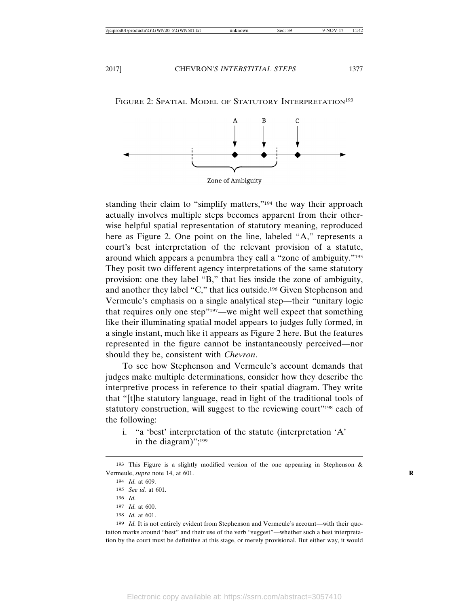

#### FIGURE 2: SPATIAL MODEL OF STATUTORY INTERPRETATION<sup>193</sup>

Zone of Ambiguity

standing their claim to "simplify matters,"194 the way their approach actually involves multiple steps becomes apparent from their otherwise helpful spatial representation of statutory meaning, reproduced here as Figure 2. One point on the line, labeled "A," represents a court's best interpretation of the relevant provision of a statute, around which appears a penumbra they call a "zone of ambiguity."195 They posit two different agency interpretations of the same statutory provision: one they label "B," that lies inside the zone of ambiguity, and another they label "C," that lies outside.196 Given Stephenson and Vermeule's emphasis on a single analytical step—their "unitary logic that requires only one step"197—we might well expect that something like their illuminating spatial model appears to judges fully formed, in a single instant, much like it appears as Figure 2 here. But the features represented in the figure cannot be instantaneously perceived—nor should they be, consistent with *Chevron*.

To see how Stephenson and Vermeule's account demands that judges make multiple determinations, consider how they describe the interpretive process in reference to their spatial diagram. They write that "[t]he statutory language, read in light of the traditional tools of statutory construction, will suggest to the reviewing court"<sup>198</sup> each of the following:

i. "a 'best' interpretation of the statute (interpretation 'A' in the diagram)";199

199 *Id.* It is not entirely evident from Stephenson and Vermeule's account—with their quotation marks around "best" and their use of the verb "suggest"—whether such a best interpretation by the court must be definitive at this stage, or merely provisional. But either way, it would

<sup>193</sup> This Figure is a slightly modified version of the one appearing in Stephenson & Vermeule, *supra* note 14, at 601. **R**

<sup>194</sup> *Id.* at 609.

<sup>195</sup> *See id.* at 601.

<sup>196</sup> *Id.*

<sup>197</sup> *Id.* at 600.

<sup>198</sup> *Id.* at 601.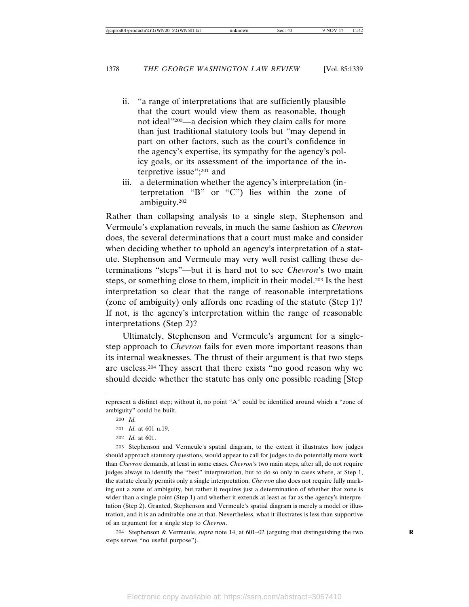- ii. "a range of interpretations that are sufficiently plausible that the court would view them as reasonable, though not ideal"200—a decision which they claim calls for more than just traditional statutory tools but "may depend in part on other factors, such as the court's confidence in the agency's expertise, its sympathy for the agency's policy goals, or its assessment of the importance of the interpretive issue";201 and
- iii. a determination whether the agency's interpretation (interpretation "B" or "C") lies within the zone of ambiguity.202

Rather than collapsing analysis to a single step, Stephenson and Vermeule's explanation reveals, in much the same fashion as *Chevron* does, the several determinations that a court must make and consider when deciding whether to uphold an agency's interpretation of a statute. Stephenson and Vermeule may very well resist calling these determinations "steps"—but it is hard not to see *Chevron*'s two main steps, or something close to them, implicit in their model.203 Is the best interpretation so clear that the range of reasonable interpretations (zone of ambiguity) only affords one reading of the statute (Step 1)? If not, is the agency's interpretation within the range of reasonable interpretations (Step 2)?

Ultimately, Stephenson and Vermeule's argument for a singlestep approach to *Chevron* fails for even more important reasons than its internal weaknesses. The thrust of their argument is that two steps are useless.204 They assert that there exists "no good reason why we should decide whether the statute has only one possible reading [Step

202 *Id.* at 601.

203 Stephenson and Vermeule's spatial diagram, to the extent it illustrates how judges should approach statutory questions, would appear to call for judges to do potentially more work than *Chevron* demands, at least in some cases. *Chevron*'s two main steps, after all, do not require judges always to identify the "best" interpretation, but to do so only in cases where, at Step 1, the statute clearly permits only a single interpretation. *Chevron* also does not require fully marking out a zone of ambiguity, but rather it requires just a determination of whether that zone is wider than a single point (Step 1) and whether it extends at least as far as the agency's interpretation (Step 2). Granted, Stephenson and Vermeule's spatial diagram is merely a model or illustration, and it is an admirable one at that. Nevertheless, what it illustrates is less than supportive of an argument for a single step to *Chevron*.

204 Stephenson & Vermeule, *supra* note 14, at 601–02 (arguing that distinguishing the two **R** steps serves "no useful purpose").

represent a distinct step; without it, no point "A" could be identified around which a "zone of ambiguity" could be built.

<sup>200</sup> *Id.*

<sup>201</sup> *Id.* at 601 n.19.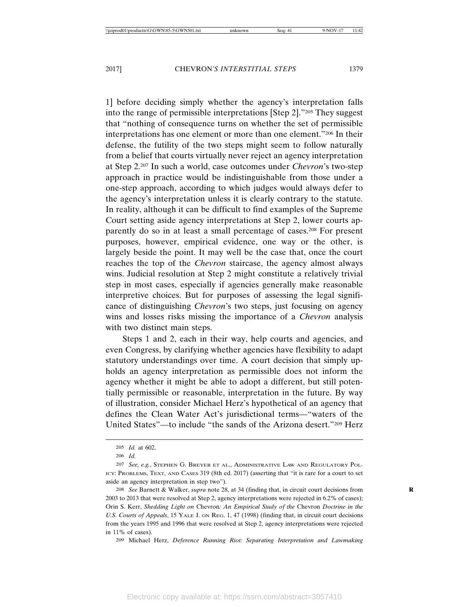1] before deciding simply whether the agency's interpretation falls into the range of permissible interpretations [Step 2]."205 They suggest that "nothing of consequence turns on whether the set of permissible interpretations has one element or more than one element."206 In their defense, the futility of the two steps might seem to follow naturally from a belief that courts virtually never reject an agency interpretation at Step 2.207 In such a world, case outcomes under *Chevron*'s two-step approach in practice would be indistinguishable from those under a one-step approach, according to which judges would always defer to the agency's interpretation unless it is clearly contrary to the statute. In reality, although it can be difficult to find examples of the Supreme Court setting aside agency interpretations at Step 2, lower courts apparently do so in at least a small percentage of cases.208 For present purposes, however, empirical evidence, one way or the other, is largely beside the point. It may well be the case that, once the court reaches the top of the *Chevron* staircase, the agency almost always wins. Judicial resolution at Step 2 might constitute a relatively trivial step in most cases, especially if agencies generally make reasonable interpretive choices. But for purposes of assessing the legal significance of distinguishing *Chevron*'s two steps, just focusing on agency wins and losses risks missing the importance of a *Chevron* analysis with two distinct main steps.

Steps 1 and 2, each in their way, help courts and agencies, and even Congress, by clarifying whether agencies have flexibility to adapt statutory understandings over time. A court decision that simply upholds an agency interpretation as permissible does not inform the agency whether it might be able to adopt a different, but still potentially permissible or reasonable, interpretation in the future. By way of illustration, consider Michael Herz's hypothetical of an agency that defines the Clean Water Act's jurisdictional terms—"waters of the United States"—to include "the sands of the Arizona desert."209 Herz

209 Michael Herz, *Deference Running Riot: Separating Interpretation and Lawmaking*

<sup>205</sup> *Id.* at 602.

<sup>206</sup> *Id.*

<sup>207</sup> *See, e.g.*, STEPHEN G. BREYER ET AL., ADMINISTRATIVE LAW AND REGULATORY POL-ICY: PROBLEMS, TEXT, AND CASES 319 (8th ed. 2017) (asserting that "it is rare for a court to set aside an agency interpretation in step two").

<sup>208</sup> *See* Barnett & Walker, *supra* note 28, at 34 (finding that, in circuit court decisions from **R** 2003 to 2013 that were resolved at Step 2, agency interpretations were rejected in 6.2% of cases); Orin S. Kerr, *Shedding Light on* Chevron*: An Empirical Study of the* Chevron *Doctrine in the U.S. Courts of Appeals*, 15 YALE J. ON REG. 1, 47 (1998) (finding that, in circuit court decisions from the years 1995 and 1996 that were resolved at Step 2, agency interpretations were rejected in 11% of cases).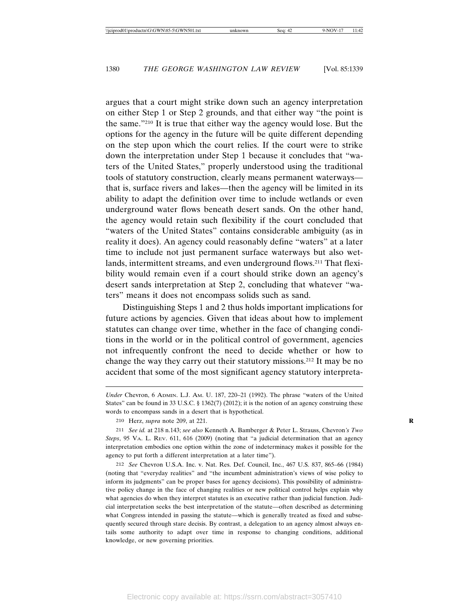argues that a court might strike down such an agency interpretation on either Step 1 or Step 2 grounds, and that either way "the point is the same."210 It is true that either way the agency would lose. But the options for the agency in the future will be quite different depending on the step upon which the court relies. If the court were to strike down the interpretation under Step 1 because it concludes that "waters of the United States," properly understood using the traditional tools of statutory construction, clearly means permanent waterways that is, surface rivers and lakes—then the agency will be limited in its ability to adapt the definition over time to include wetlands or even underground water flows beneath desert sands. On the other hand, the agency would retain such flexibility if the court concluded that "waters of the United States" contains considerable ambiguity (as in reality it does). An agency could reasonably define "waters" at a later time to include not just permanent surface waterways but also wetlands, intermittent streams, and even underground flows.<sup>211</sup> That flexibility would remain even if a court should strike down an agency's desert sands interpretation at Step 2, concluding that whatever "waters" means it does not encompass solids such as sand.

Distinguishing Steps 1 and 2 thus holds important implications for future actions by agencies. Given that ideas about how to implement statutes can change over time, whether in the face of changing conditions in the world or in the political control of government, agencies not infrequently confront the need to decide whether or how to change the way they carry out their statutory missions.212 It may be no accident that some of the most significant agency statutory interpreta-

*Under* Chevron, 6 ADMIN. L.J. AM. U. 187, 220–21 (1992). The phrase "waters of the United States" can be found in 33 U.S.C. § 1362(7) (2012); it is the notion of an agency construing these words to encompass sands in a desert that is hypothetical.

<sup>210</sup> Herz, *supra* note 209, at 221. **R**

<sup>211</sup> *See id.* at 218 n.143; *see also* Kenneth A. Bamberger & Peter L. Strauss, Chevron*'s Two Steps*, 95 VA. L. REV. 611, 616 (2009) (noting that "a judicial determination that an agency interpretation embodies one option within the zone of indeterminacy makes it possible for the agency to put forth a different interpretation at a later time").

<sup>212</sup> *See* Chevron U.S.A. Inc. v. Nat. Res. Def. Council, Inc., 467 U.S. 837, 865–66 (1984) (noting that "everyday realities" and "the incumbent administration's views of wise policy to inform its judgments" can be proper bases for agency decisions). This possibility of administrative policy change in the face of changing realities or new political control helps explain why what agencies do when they interpret statutes is an executive rather than judicial function. Judicial interpretation seeks the best interpretation of the statute—often described as determining what Congress intended in passing the statute—which is generally treated as fixed and subsequently secured through stare decisis. By contrast, a delegation to an agency almost always entails some authority to adapt over time in response to changing conditions, additional knowledge, or new governing priorities.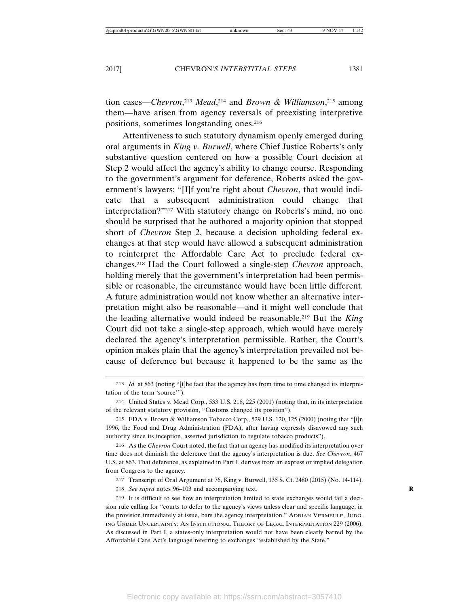tion cases—*Chevron*, <sup>213</sup> *Mead*, 214 and *Brown & Williamson*, 215 among them—have arisen from agency reversals of preexisting interpretive positions, sometimes longstanding ones.216

Attentiveness to such statutory dynamism openly emerged during oral arguments in *King v. Burwell*, where Chief Justice Roberts's only substantive question centered on how a possible Court decision at Step 2 would affect the agency's ability to change course. Responding to the government's argument for deference, Roberts asked the government's lawyers: "[I]f you're right about *Chevron*, that would indicate that a subsequent administration could change that interpretation?"217 With statutory change on Roberts's mind, no one should be surprised that he authored a majority opinion that stopped short of *Chevron* Step 2, because a decision upholding federal exchanges at that step would have allowed a subsequent administration to reinterpret the Affordable Care Act to preclude federal exchanges.218 Had the Court followed a single-step *Chevron* approach, holding merely that the government's interpretation had been permissible or reasonable, the circumstance would have been little different. A future administration would not know whether an alternative interpretation might also be reasonable—and it might well conclude that the leading alternative would indeed be reasonable.219 But the *King* Court did not take a single-step approach, which would have merely declared the agency's interpretation permissible. Rather, the Court's opinion makes plain that the agency's interpretation prevailed not because of deference but because it happened to be the same as the

218 *See supra* notes 96–103 and accompanying text. **R**

<sup>213</sup> *Id.* at 863 (noting "[t]he fact that the agency has from time to time changed its interpretation of the term 'source'").

<sup>214</sup> United States v. Mead Corp., 533 U.S. 218, 225 (2001) (noting that, in its interpretation of the relevant statutory provision, "Customs changed its position").

<sup>215</sup> FDA v. Brown & Williamson Tobacco Corp., 529 U.S. 120, 125 (2000) (noting that "[i]n 1996, the Food and Drug Administration (FDA), after having expressly disavowed any such authority since its inception, asserted jurisdiction to regulate tobacco products").

<sup>216</sup> As the *Chevron* Court noted, the fact that an agency has modified its interpretation over time does not diminish the deference that the agency's interpretation is due. *See Chevron*, 467 U.S. at 863. That deference, as explained in Part I, derives from an express or implied delegation from Congress to the agency.

<sup>217</sup> Transcript of Oral Argument at 76, King v. Burwell, 135 S. Ct. 2480 (2015) (No. 14-114).

<sup>219</sup> It is difficult to see how an interpretation limited to state exchanges would fail a decision rule calling for "courts to defer to the agency's views unless clear and specific language, in the provision immediately at issue, bars the agency interpretation." ADRIAN VERMEULE, JUDG-ING UNDER UNCERTAINTY: AN INSTITUTIONAL THEORY OF LEGAL INTERPRETATION 229 (2006). As discussed in Part I, a states-only interpretation would not have been clearly barred by the Affordable Care Act's language referring to exchanges "established by the State."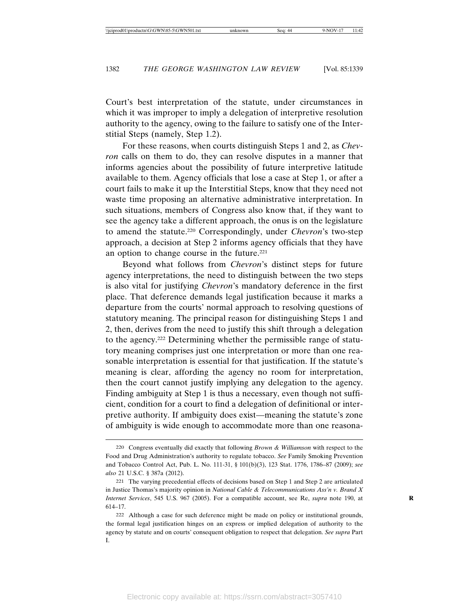Court's best interpretation of the statute, under circumstances in which it was improper to imply a delegation of interpretive resolution authority to the agency, owing to the failure to satisfy one of the Interstitial Steps (namely, Step 1.2).

For these reasons, when courts distinguish Steps 1 and 2, as *Chevron* calls on them to do, they can resolve disputes in a manner that informs agencies about the possibility of future interpretive latitude available to them. Agency officials that lose a case at Step 1, or after a court fails to make it up the Interstitial Steps, know that they need not waste time proposing an alternative administrative interpretation. In such situations, members of Congress also know that, if they want to see the agency take a different approach, the onus is on the legislature to amend the statute.220 Correspondingly, under *Chevron*'s two-step approach, a decision at Step 2 informs agency officials that they have an option to change course in the future.221

Beyond what follows from *Chevron*'s distinct steps for future agency interpretations, the need to distinguish between the two steps is also vital for justifying *Chevron*'s mandatory deference in the first place. That deference demands legal justification because it marks a departure from the courts' normal approach to resolving questions of statutory meaning. The principal reason for distinguishing Steps 1 and 2, then, derives from the need to justify this shift through a delegation to the agency.222 Determining whether the permissible range of statutory meaning comprises just one interpretation or more than one reasonable interpretation is essential for that justification. If the statute's meaning is clear, affording the agency no room for interpretation, then the court cannot justify implying any delegation to the agency. Finding ambiguity at Step 1 is thus a necessary, even though not sufficient, condition for a court to find a delegation of definitional or interpretive authority. If ambiguity does exist—meaning the statute's zone of ambiguity is wide enough to accommodate more than one reasona-

<sup>220</sup> Congress eventually did exactly that following *Brown & Williamson* with respect to the Food and Drug Administration's authority to regulate tobacco. *See* Family Smoking Prevention and Tobacco Control Act, Pub. L. No. 111-31, § 101(b)(3), 123 Stat. 1776, 1786–87 (2009); *see also* 21 U.S.C. § 387a (2012).

<sup>221</sup> The varying precedential effects of decisions based on Step 1 and Step 2 are articulated in Justice Thomas's majority opinion in *National Cable & Telecommunications Ass'n v. Brand X Internet Services*, 545 U.S. 967 (2005). For a compatible account, see Re, *supra* note 190, at 614–17.

<sup>222</sup> Although a case for such deference might be made on policy or institutional grounds, the formal legal justification hinges on an express or implied delegation of authority to the agency by statute and on courts' consequent obligation to respect that delegation. *See supra* Part I.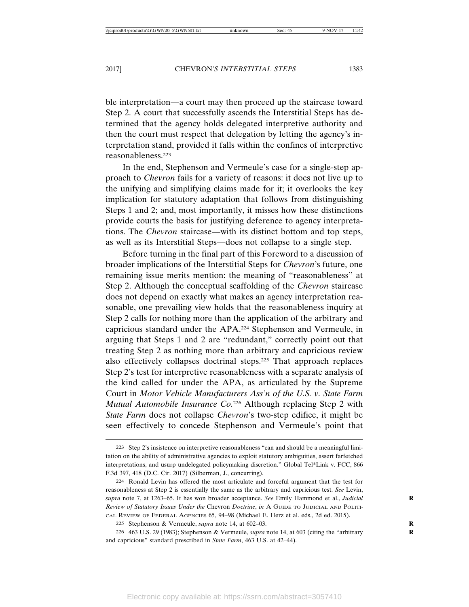ble interpretation—a court may then proceed up the staircase toward Step 2. A court that successfully ascends the Interstitial Steps has determined that the agency holds delegated interpretive authority and then the court must respect that delegation by letting the agency's interpretation stand, provided it falls within the confines of interpretive reasonableness.223

In the end, Stephenson and Vermeule's case for a single-step approach to *Chevron* fails for a variety of reasons: it does not live up to the unifying and simplifying claims made for it; it overlooks the key implication for statutory adaptation that follows from distinguishing Steps 1 and 2; and, most importantly, it misses how these distinctions provide courts the basis for justifying deference to agency interpretations. The *Chevron* staircase—with its distinct bottom and top steps, as well as its Interstitial Steps—does not collapse to a single step.

Before turning in the final part of this Foreword to a discussion of broader implications of the Interstitial Steps for *Chevron*'s future, one remaining issue merits mention: the meaning of "reasonableness" at Step 2. Although the conceptual scaffolding of the *Chevron* staircase does not depend on exactly what makes an agency interpretation reasonable, one prevailing view holds that the reasonableness inquiry at Step 2 calls for nothing more than the application of the arbitrary and capricious standard under the APA.224 Stephenson and Vermeule, in arguing that Steps 1 and 2 are "redundant," correctly point out that treating Step 2 as nothing more than arbitrary and capricious review also effectively collapses doctrinal steps.225 That approach replaces Step 2's test for interpretive reasonableness with a separate analysis of the kind called for under the APA, as articulated by the Supreme Court in *Motor Vehicle Manufacturers Ass'n of the U.S. v. State Farm Mutual Automobile Insurance Co.*226 Although replacing Step 2 with *State Farm* does not collapse *Chevron*'s two-step edifice, it might be seen effectively to concede Stephenson and Vermeule's point that

<sup>223</sup> Step 2's insistence on interpretive reasonableness "can and should be a meaningful limitation on the ability of administrative agencies to exploit statutory ambiguities, assert farfetched interpretations, and usurp undelegated policymaking discretion." Global Tel\*Link v. FCC, 866 F.3d 397, 418 (D.C. Cir. 2017) (Silberman, J., concurring).

<sup>224</sup> Ronald Levin has offered the most articulate and forceful argument that the test for reasonableness at Step 2 is essentially the same as the arbitrary and capricious test. *See* Levin, *supra* note 7, at 1263–65. It has won broader acceptance. *See* Emily Hammond et al., *Judicial* **R** *Review of Statutory Issues Under the* Chevron *Doctrine*, *in* A GUIDE TO JUDICIAL AND POLITI-CAL REVIEW OF FEDERAL AGENCIES 65, 94–98 (Michael E. Herz et al. eds., 2d ed. 2015).

<sup>225</sup> Stephenson & Vermeule, *supra* note 14, at 602-03.

<sup>226</sup> 463 U.S. 29 (1983); Stephenson & Vermeule, *supra* note 14, at 603 (citing the "arbitrary **R** and capricious" standard prescribed in *State Farm*, 463 U.S. at 42–44).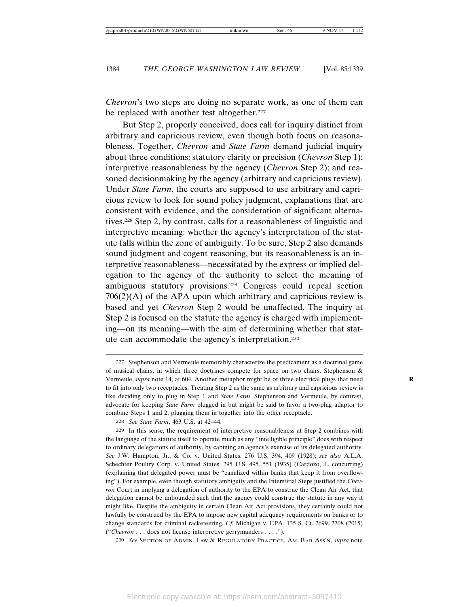*Chevron*'s two steps are doing no separate work, as one of them can be replaced with another test altogether.<sup>227</sup>

But Step 2, properly conceived, does call for inquiry distinct from arbitrary and capricious review, even though both focus on reasonableness. Together, *Chevron* and *State Farm* demand judicial inquiry about three conditions: statutory clarity or precision (*Chevron* Step 1); interpretive reasonableness by the agency (*Chevron* Step 2); and reasoned decisionmaking by the agency (arbitrary and capricious review). Under *State Farm*, the courts are supposed to use arbitrary and capricious review to look for sound policy judgment, explanations that are consistent with evidence, and the consideration of significant alternatives.228 Step 2, by contrast, calls for a reasonableness of linguistic and interpretive meaning: whether the agency's interpretation of the statute falls within the zone of ambiguity. To be sure, Step 2 also demands sound judgment and cogent reasoning, but its reasonableness is an interpretive reasonableness—necessitated by the express or implied delegation to the agency of the authority to select the meaning of ambiguous statutory provisions.229 Congress could repeal section  $706(2)(A)$  of the APA upon which arbitrary and capricious review is based and yet *Chevron* Step 2 would be unaffected. The inquiry at Step 2 is focused on the statute the agency is charged with implementing—on its meaning—with the aim of determining whether that statute can accommodate the agency's interpretation.230

230 *See* SECTION OF ADMIN. LAW & REGULATORY PRACTICE, AM. BAR ASS'N, *supra* note

<sup>227</sup> Stephenson and Vermeule memorably characterize the predicament as a doctrinal game of musical chairs, in which three doctrines compete for space on two chairs. Stephenson & Vermeule, *supra* note 14, at 604. Another metaphor might be of three electrical plugs that need **R** to fit into only two receptacles. Treating Step 2 as the same as arbitrary and capricious review is like deciding only to plug in Step 1 and *State Farm*. Stephenson and Vermeule, by contrast, advocate for keeping *State Farm* plugged in but might be said to favor a two-plug adaptor to combine Steps 1 and 2, plugging them in together into the other receptacle.

<sup>228</sup> *See State Farm*, 463 U.S. at 42–44.

<sup>229</sup> In this sense, the requirement of interpretive reasonableness at Step 2 combines with the language of the statute itself to operate much as any "intelligible principle" does with respect to ordinary delegations of authority, by cabining an agency's exercise of its delegated authority. *See* J.W. Hampton, Jr., & Co. v. United States, 276 U.S. 394, 409 (1928); *see also* A.L.A. Schechter Poultry Corp. v. United States, 295 U.S. 495, 551 (1935) (Cardozo, J., concurring) (explaining that delegated power must be "canalized within banks that keep it from overflowing"). For example, even though statutory ambiguity and the Interstitial Steps justified the *Chevron* Court in implying a delegation of authority to the EPA to construe the Clean Air Act, that delegation cannot be unbounded such that the agency could construe the statute in any way it might like. Despite the ambiguity in certain Clean Air Act provisions, they certainly could not lawfully be construed by the EPA to impose new capital adequacy requirements on banks or to change standards for criminal racketeering. *Cf.* Michigan v. EPA, 135 S. Ct. 2699, 2708 (2015) ("*Chevron* . . . does not license interpretive gerrymanders . . . .").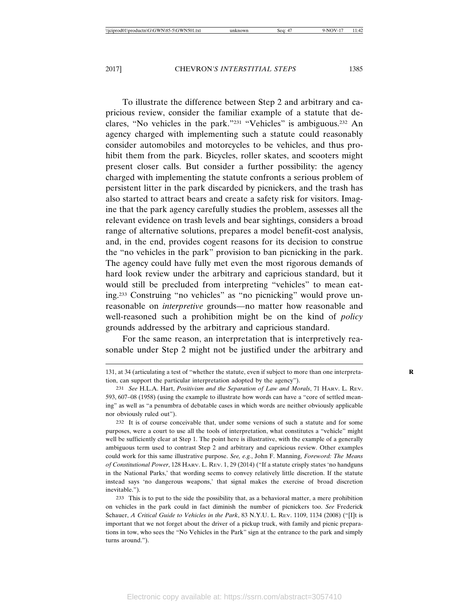To illustrate the difference between Step 2 and arbitrary and capricious review, consider the familiar example of a statute that declares, "No vehicles in the park."231 "Vehicles" is ambiguous.232 An agency charged with implementing such a statute could reasonably consider automobiles and motorcycles to be vehicles, and thus prohibit them from the park. Bicycles, roller skates, and scooters might present closer calls. But consider a further possibility: the agency charged with implementing the statute confronts a serious problem of persistent litter in the park discarded by picnickers, and the trash has also started to attract bears and create a safety risk for visitors. Imagine that the park agency carefully studies the problem, assesses all the relevant evidence on trash levels and bear sightings, considers a broad range of alternative solutions, prepares a model benefit-cost analysis, and, in the end, provides cogent reasons for its decision to construe the "no vehicles in the park" provision to ban picnicking in the park. The agency could have fully met even the most rigorous demands of hard look review under the arbitrary and capricious standard, but it would still be precluded from interpreting "vehicles" to mean eating.233 Construing "no vehicles" as "no picnicking" would prove unreasonable on *interpretive* grounds—no matter how reasonable and well-reasoned such a prohibition might be on the kind of *policy* grounds addressed by the arbitrary and capricious standard.

For the same reason, an interpretation that is interpretively reasonable under Step 2 might not be justified under the arbitrary and

233 This is to put to the side the possibility that, as a behavioral matter, a mere prohibition on vehicles in the park could in fact diminish the number of picnickers too. *See* Frederick Schauer, *A Critical Guide to Vehicles in the Park*, 83 N.Y.U. L. REV. 1109, 1134 (2008) ("[I]t is important that we not forget about the driver of a pickup truck, with family and picnic preparations in tow, who sees the "No Vehicles in the Park" sign at the entrance to the park and simply turns around.").

<sup>131,</sup> at 34 (articulating a test of "whether the statute, even if subject to more than one interpreta- **R** tion, can support the particular interpretation adopted by the agency").

<sup>231</sup> *See* H.L.A. Hart, *Positivism and the Separation of Law and Morals*, 71 HARV. L. REV. 593, 607–08 (1958) (using the example to illustrate how words can have a "core of settled meaning" as well as "a penumbra of debatable cases in which words are neither obviously applicable nor obviously ruled out").

<sup>232</sup> It is of course conceivable that, under some versions of such a statute and for some purposes, were a court to use all the tools of interpretation, what constitutes a "vehicle" might well be sufficiently clear at Step 1. The point here is illustrative, with the example of a generally ambiguous term used to contrast Step 2 and arbitrary and capricious review. Other examples could work for this same illustrative purpose. *See, e.g.*, John F. Manning, *Foreword: The Means of Constitutional Power*, 128 HARV. L. REV. 1, 29 (2014) ("If a statute crisply states 'no handguns in the National Parks,' that wording seems to convey relatively little discretion. If the statute instead says 'no dangerous weapons,' that signal makes the exercise of broad discretion inevitable.").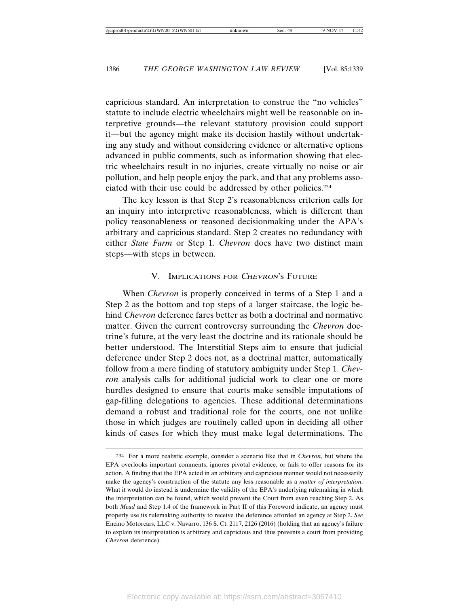capricious standard. An interpretation to construe the "no vehicles" statute to include electric wheelchairs might well be reasonable on interpretive grounds—the relevant statutory provision could support it—but the agency might make its decision hastily without undertaking any study and without considering evidence or alternative options advanced in public comments, such as information showing that electric wheelchairs result in no injuries, create virtually no noise or air pollution, and help people enjoy the park, and that any problems associated with their use could be addressed by other policies.234

The key lesson is that Step 2's reasonableness criterion calls for an inquiry into interpretive reasonableness, which is different than policy reasonableness or reasoned decisionmaking under the APA's arbitrary and capricious standard. Step 2 creates no redundancy with either *State Farm* or Step 1. *Chevron* does have two distinct main steps—with steps in between.

#### V. IMPLICATIONS FOR CHEVRON'S FUTURE

When *Chevron* is properly conceived in terms of a Step 1 and a Step 2 as the bottom and top steps of a larger staircase, the logic behind *Chevron* deference fares better as both a doctrinal and normative matter. Given the current controversy surrounding the *Chevron* doctrine's future, at the very least the doctrine and its rationale should be better understood. The Interstitial Steps aim to ensure that judicial deference under Step 2 does not, as a doctrinal matter, automatically follow from a mere finding of statutory ambiguity under Step 1. *Chevron* analysis calls for additional judicial work to clear one or more hurdles designed to ensure that courts make sensible imputations of gap-filling delegations to agencies. These additional determinations demand a robust and traditional role for the courts, one not unlike those in which judges are routinely called upon in deciding all other kinds of cases for which they must make legal determinations. The

<sup>234</sup> For a more realistic example, consider a scenario like that in *Chevron*, but where the EPA overlooks important comments, ignores pivotal evidence, or fails to offer reasons for its action. A finding that the EPA acted in an arbitrary and capricious manner would not necessarily make the agency's construction of the statute any less reasonable as a *matter of interpretation*. What it would do instead is undermine the validity of the EPA's underlying rulemaking in which the interpretation can be found, which would prevent the Court from even reaching Step 2. As both *Mead* and Step 1.4 of the framework in Part II of this Foreword indicate, an agency must properly use its rulemaking authority to receive the deference afforded an agency at Step 2. *See* Encino Motorcars, LLC v. Navarro, 136 S. Ct. 2117, 2126 (2016) (holding that an agency's failure to explain its interpretation is arbitrary and capricious and thus prevents a court from providing *Chevron* deference).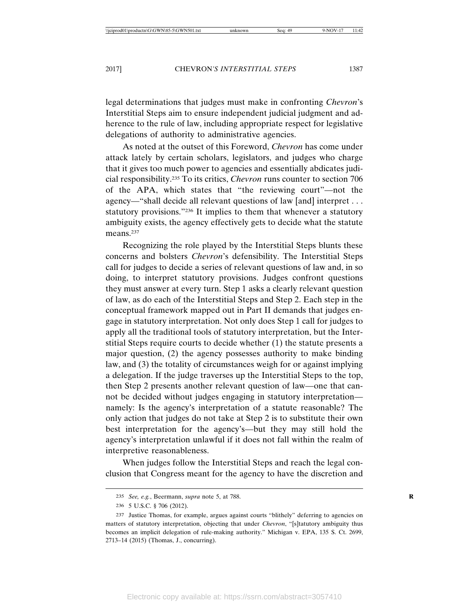legal determinations that judges must make in confronting *Chevron*'s Interstitial Steps aim to ensure independent judicial judgment and adherence to the rule of law, including appropriate respect for legislative delegations of authority to administrative agencies.

As noted at the outset of this Foreword, *Chevron* has come under attack lately by certain scholars, legislators, and judges who charge that it gives too much power to agencies and essentially abdicates judicial responsibility.235 To its critics, *Chevron* runs counter to section 706 of the APA, which states that "the reviewing court"—not the agency—"shall decide all relevant questions of law [and] interpret . . . statutory provisions."236 It implies to them that whenever a statutory ambiguity exists, the agency effectively gets to decide what the statute means.<sup>237</sup>

Recognizing the role played by the Interstitial Steps blunts these concerns and bolsters *Chevron*'s defensibility. The Interstitial Steps call for judges to decide a series of relevant questions of law and, in so doing, to interpret statutory provisions. Judges confront questions they must answer at every turn. Step 1 asks a clearly relevant question of law, as do each of the Interstitial Steps and Step 2. Each step in the conceptual framework mapped out in Part II demands that judges engage in statutory interpretation. Not only does Step 1 call for judges to apply all the traditional tools of statutory interpretation, but the Interstitial Steps require courts to decide whether (1) the statute presents a major question, (2) the agency possesses authority to make binding law, and (3) the totality of circumstances weigh for or against implying a delegation. If the judge traverses up the Interstitial Steps to the top, then Step 2 presents another relevant question of law—one that cannot be decided without judges engaging in statutory interpretation namely: Is the agency's interpretation of a statute reasonable? The only action that judges do not take at Step 2 is to substitute their own best interpretation for the agency's—but they may still hold the agency's interpretation unlawful if it does not fall within the realm of interpretive reasonableness.

When judges follow the Interstitial Steps and reach the legal conclusion that Congress meant for the agency to have the discretion and

<sup>235</sup> *See, e.g.*, Beermann, *supra* note 5, at 788.

<sup>236</sup> 5 U.S.C. § 706 (2012).

<sup>237</sup> Justice Thomas, for example, argues against courts "blithely" deferring to agencies on matters of statutory interpretation, objecting that under *Chevron*, "[s]tatutory ambiguity thus becomes an implicit delegation of rule-making authority." Michigan v. EPA, 135 S. Ct. 2699, 2713–14 (2015) (Thomas, J., concurring).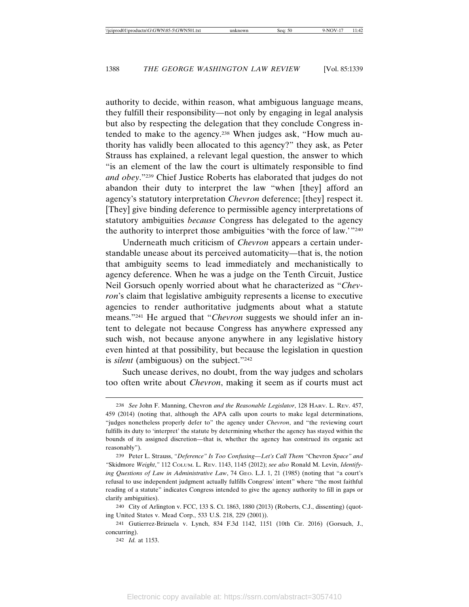authority to decide, within reason, what ambiguous language means, they fulfill their responsibility—not only by engaging in legal analysis but also by respecting the delegation that they conclude Congress intended to make to the agency.238 When judges ask, "How much authority has validly been allocated to this agency?" they ask, as Peter Strauss has explained, a relevant legal question, the answer to which "is an element of the law the court is ultimately responsible to find *and obey*."239 Chief Justice Roberts has elaborated that judges do not abandon their duty to interpret the law "when [they] afford an agency's statutory interpretation *Chevron* deference; [they] respect it. [They] give binding deference to permissible agency interpretations of statutory ambiguities *because* Congress has delegated to the agency the authority to interpret those ambiguities 'with the force of law.'"240

Underneath much criticism of *Chevron* appears a certain understandable unease about its perceived automaticity—that is, the notion that ambiguity seems to lead immediately and mechanistically to agency deference. When he was a judge on the Tenth Circuit, Justice Neil Gorsuch openly worried about what he characterized as "*Chevron*'s claim that legislative ambiguity represents a license to executive agencies to render authoritative judgments about what a statute means."241 He argued that "*Chevron* suggests we should infer an intent to delegate not because Congress has anywhere expressed any such wish, not because anyone anywhere in any legislative history even hinted at that possibility, but because the legislation in question is *silent* (ambiguous) on the subject."242

Such unease derives, no doubt, from the way judges and scholars too often write about *Chevron*, making it seem as if courts must act

<sup>238</sup> *See* John F. Manning, Chevron *and the Reasonable Legislator*, 128 HARV. L. REV. 457, 459 (2014) (noting that, although the APA calls upon courts to make legal determinations, "judges nonetheless properly defer to" the agency under *Chevron*, and "the reviewing court fulfills its duty to 'interpret' the statute by determining whether the agency has stayed within the bounds of its assigned discretion—that is, whether the agency has construed its organic act reasonably").

<sup>239</sup> Peter L. Strauss, *"Deference" Is Too Confusing—Let's Call Them "*Chevron *Space" and "*Skidmore *Weight*,*"* 112 COLUM. L. REV. 1143, 1145 (2012); *see also* Ronald M. Levin, *Identifying Questions of Law in Administrative Law*, 74 GEO. L.J. 1, 21 (1985) (noting that "a court's refusal to use independent judgment actually fulfills Congress' intent" where "the most faithful reading of a statute" indicates Congress intended to give the agency authority to fill in gaps or clarify ambiguities).

<sup>240</sup> City of Arlington v. FCC, 133 S. Ct. 1863, 1880 (2013) (Roberts, C.J., dissenting) (quoting United States v. Mead Corp., 533 U.S. 218, 229 (2001)).

<sup>241</sup> Gutierrez-Brizuela v. Lynch, 834 F.3d 1142, 1151 (10th Cir. 2016) (Gorsuch, J., concurring).

<sup>242</sup> *Id.* at 1153.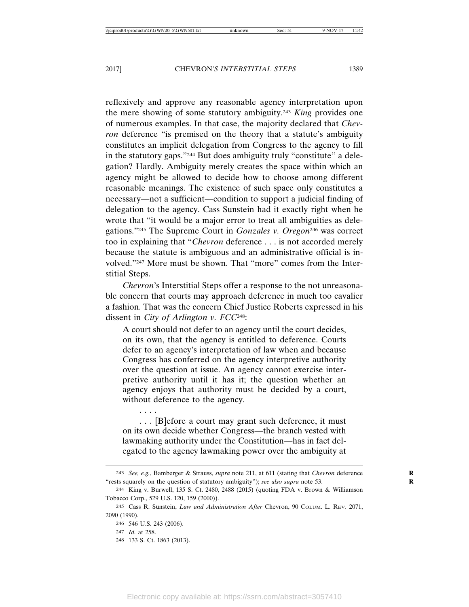reflexively and approve any reasonable agency interpretation upon the mere showing of some statutory ambiguity.243 *King* provides one of numerous examples. In that case, the majority declared that *Chevron* deference "is premised on the theory that a statute's ambiguity constitutes an implicit delegation from Congress to the agency to fill in the statutory gaps."244 But does ambiguity truly "constitute" a delegation? Hardly. Ambiguity merely creates the space within which an agency might be allowed to decide how to choose among different reasonable meanings. The existence of such space only constitutes a necessary—not a sufficient—condition to support a judicial finding of delegation to the agency. Cass Sunstein had it exactly right when he wrote that "it would be a major error to treat all ambiguities as delegations."245 The Supreme Court in *Gonzales v. Oregon*246 was correct too in explaining that "*Chevron* deference . . . is not accorded merely because the statute is ambiguous and an administrative official is involved."247 More must be shown. That "more" comes from the Interstitial Steps.

*Chevron*'s Interstitial Steps offer a response to the not unreasonable concern that courts may approach deference in much too cavalier a fashion. That was the concern Chief Justice Roberts expressed in his dissent in *City of Arlington v. FCC*248:

A court should not defer to an agency until the court decides, on its own, that the agency is entitled to deference. Courts defer to an agency's interpretation of law when and because Congress has conferred on the agency interpretive authority over the question at issue. An agency cannot exercise interpretive authority until it has it; the question whether an agency enjoys that authority must be decided by a court, without deference to the agency.

. . . [B]efore a court may grant such deference, it must on its own decide whether Congress—the branch vested with lawmaking authority under the Constitution—has in fact delegated to the agency lawmaking power over the ambiguity at

. . . .

<sup>243</sup> *See, e.g.*, Bamberger & Strauss, *supra* note 211, at 611 (stating that *Chevron* deference **R** "rests squarely on the question of statutory ambiguity"); *see also supra* note 53.

<sup>244</sup> King v. Burwell, 135 S. Ct. 2480, 2488 (2015) (quoting FDA v. Brown & Williamson Tobacco Corp., 529 U.S. 120, 159 (2000)).

<sup>245</sup> Cass R. Sunstein, *Law and Administration After* Chevron, 90 COLUM. L. REV. 2071, 2090 (1990).

<sup>246</sup> 546 U.S. 243 (2006).

<sup>247</sup> *Id.* at 258.

<sup>248</sup> 133 S. Ct. 1863 (2013).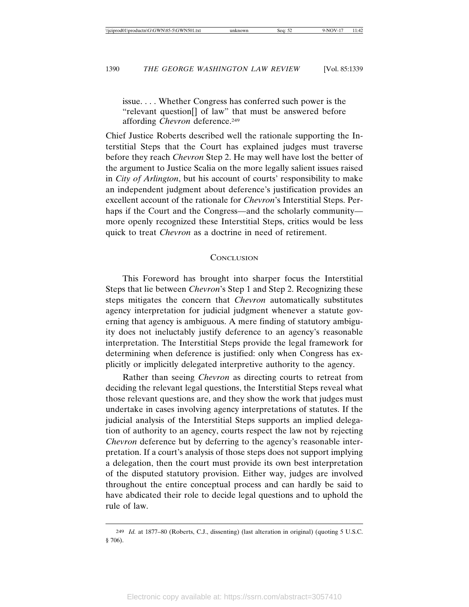issue. . . . Whether Congress has conferred such power is the "relevant question[] of law" that must be answered before affording *Chevron* deference.249

Chief Justice Roberts described well the rationale supporting the Interstitial Steps that the Court has explained judges must traverse before they reach *Chevron* Step 2. He may well have lost the better of the argument to Justice Scalia on the more legally salient issues raised in *City of Arlington*, but his account of courts' responsibility to make an independent judgment about deference's justification provides an excellent account of the rationale for *Chevron*'s Interstitial Steps. Perhaps if the Court and the Congress—and the scholarly community more openly recognized these Interstitial Steps, critics would be less quick to treat *Chevron* as a doctrine in need of retirement.

#### **CONCLUSION**

This Foreword has brought into sharper focus the Interstitial Steps that lie between *Chevron*'s Step 1 and Step 2. Recognizing these steps mitigates the concern that *Chevron* automatically substitutes agency interpretation for judicial judgment whenever a statute governing that agency is ambiguous. A mere finding of statutory ambiguity does not ineluctably justify deference to an agency's reasonable interpretation. The Interstitial Steps provide the legal framework for determining when deference is justified: only when Congress has explicitly or implicitly delegated interpretive authority to the agency.

Rather than seeing *Chevron* as directing courts to retreat from deciding the relevant legal questions, the Interstitial Steps reveal what those relevant questions are, and they show the work that judges must undertake in cases involving agency interpretations of statutes. If the judicial analysis of the Interstitial Steps supports an implied delegation of authority to an agency, courts respect the law not by rejecting *Chevron* deference but by deferring to the agency's reasonable interpretation. If a court's analysis of those steps does not support implying a delegation, then the court must provide its own best interpretation of the disputed statutory provision. Either way, judges are involved throughout the entire conceptual process and can hardly be said to have abdicated their role to decide legal questions and to uphold the rule of law.

<sup>249</sup> *Id.* at 1877–80 (Roberts, C.J., dissenting) (last alteration in original) (quoting 5 U.S.C. § 706).